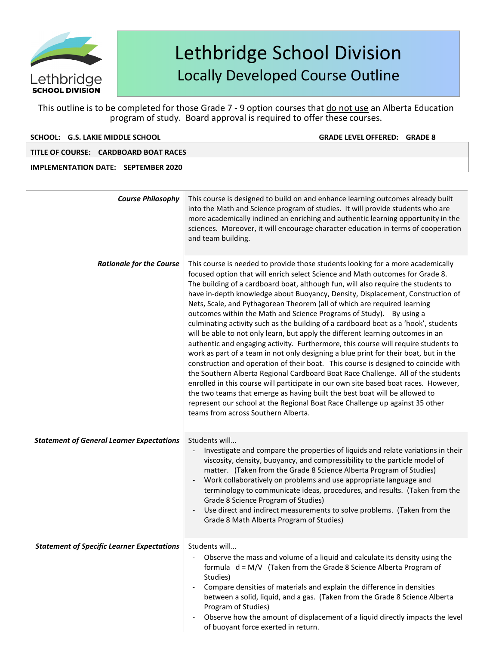

This outline is to be completed for those Grade 7 - 9 option courses that do not use an Alberta Education program of study. Board approval is required to offer these courses.

### **SCHOOL: G.S. LAKIE MIDDLE SCHOOL GRADE LEVELOFFERED: GRADE 8**

## **TITLE OF COURSE: CARDBOARD BOAT RACES**

| <b>Course Philosophy</b>                          | This course is designed to build on and enhance learning outcomes already built<br>into the Math and Science program of studies. It will provide students who are<br>more academically inclined an enriching and authentic learning opportunity in the<br>sciences. Moreover, it will encourage character education in terms of cooperation<br>and team building.                                                                                                                                                                                                                                                                                                                                                                                                                                                                                                                                                                                                                                                                                                                                                                                                                                                                                                                                                        |  |  |  |
|---------------------------------------------------|--------------------------------------------------------------------------------------------------------------------------------------------------------------------------------------------------------------------------------------------------------------------------------------------------------------------------------------------------------------------------------------------------------------------------------------------------------------------------------------------------------------------------------------------------------------------------------------------------------------------------------------------------------------------------------------------------------------------------------------------------------------------------------------------------------------------------------------------------------------------------------------------------------------------------------------------------------------------------------------------------------------------------------------------------------------------------------------------------------------------------------------------------------------------------------------------------------------------------------------------------------------------------------------------------------------------------|--|--|--|
| <b>Rationale for the Course</b>                   | This course is needed to provide those students looking for a more academically<br>focused option that will enrich select Science and Math outcomes for Grade 8.<br>The building of a cardboard boat, although fun, will also require the students to<br>have in-depth knowledge about Buoyancy, Density, Displacement, Construction of<br>Nets, Scale, and Pythagorean Theorem (all of which are required learning<br>outcomes within the Math and Science Programs of Study). By using a<br>culminating activity such as the building of a cardboard boat as a 'hook', students<br>will be able to not only learn, but apply the different learning outcomes in an<br>authentic and engaging activity. Furthermore, this course will require students to<br>work as part of a team in not only designing a blue print for their boat, but in the<br>construction and operation of their boat. This course is designed to coincide with<br>the Southern Alberta Regional Cardboard Boat Race Challenge. All of the students<br>enrolled in this course will participate in our own site based boat races. However,<br>the two teams that emerge as having built the best boat will be allowed to<br>represent our school at the Regional Boat Race Challenge up against 35 other<br>teams from across Southern Alberta. |  |  |  |
| <b>Statement of General Learner Expectations</b>  | Students will<br>Investigate and compare the properties of liquids and relate variations in their<br>viscosity, density, buoyancy, and compressibility to the particle model of<br>matter. (Taken from the Grade 8 Science Alberta Program of Studies)<br>Work collaboratively on problems and use appropriate language and<br>$\overline{\phantom{a}}$<br>terminology to communicate ideas, procedures, and results. (Taken from the<br>Grade 8 Science Program of Studies)<br>Use direct and indirect measurements to solve problems. (Taken from the<br>Grade 8 Math Alberta Program of Studies)                                                                                                                                                                                                                                                                                                                                                                                                                                                                                                                                                                                                                                                                                                                      |  |  |  |
| <b>Statement of Specific Learner Expectations</b> | Students will<br>Observe the mass and volume of a liquid and calculate its density using the<br>formula d = M/V (Taken from the Grade 8 Science Alberta Program of<br>Studies)<br>Compare densities of materials and explain the difference in densities<br>$\overline{\phantom{a}}$<br>between a solid, liquid, and a gas. (Taken from the Grade 8 Science Alberta<br>Program of Studies)<br>Observe how the amount of displacement of a liquid directly impacts the level<br>$\overline{\phantom{a}}$<br>of buoyant force exerted in return.                                                                                                                                                                                                                                                                                                                                                                                                                                                                                                                                                                                                                                                                                                                                                                           |  |  |  |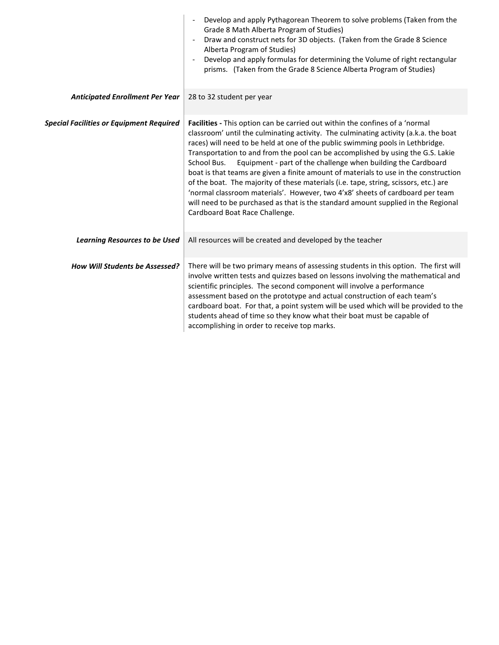| Develop and apply Pythagorean Theorem to solve problems (Taken from the<br>Grade 8 Math Alberta Program of Studies)<br>Draw and construct nets for 3D objects. (Taken from the Grade 8 Science<br>$\overline{\phantom{a}}$<br>Alberta Program of Studies)<br>Develop and apply formulas for determining the Volume of right rectangular<br>prisms. (Taken from the Grade 8 Science Alberta Program of Studies)                                                                                                                                                                                                                                                                                                                                                                                                    |
|-------------------------------------------------------------------------------------------------------------------------------------------------------------------------------------------------------------------------------------------------------------------------------------------------------------------------------------------------------------------------------------------------------------------------------------------------------------------------------------------------------------------------------------------------------------------------------------------------------------------------------------------------------------------------------------------------------------------------------------------------------------------------------------------------------------------|
| 28 to 32 student per year                                                                                                                                                                                                                                                                                                                                                                                                                                                                                                                                                                                                                                                                                                                                                                                         |
| Facilities - This option can be carried out within the confines of a 'normal<br>classroom' until the culminating activity. The culminating activity (a.k.a. the boat<br>races) will need to be held at one of the public swimming pools in Lethbridge.<br>Transportation to and from the pool can be accomplished by using the G.S. Lakie<br>Equipment - part of the challenge when building the Cardboard<br>School Bus.<br>boat is that teams are given a finite amount of materials to use in the construction<br>of the boat. The majority of these materials (i.e. tape, string, scissors, etc.) are<br>'normal classroom materials'. However, two 4'x8' sheets of cardboard per team<br>will need to be purchased as that is the standard amount supplied in the Regional<br>Cardboard Boat Race Challenge. |
| All resources will be created and developed by the teacher                                                                                                                                                                                                                                                                                                                                                                                                                                                                                                                                                                                                                                                                                                                                                        |
| There will be two primary means of assessing students in this option. The first will<br>involve written tests and quizzes based on lessons involving the mathematical and<br>scientific principles. The second component will involve a performance<br>assessment based on the prototype and actual construction of each team's<br>cardboard boat. For that, a point system will be used which will be provided to the<br>students ahead of time so they know what their boat must be capable of<br>accomplishing in order to receive top marks.                                                                                                                                                                                                                                                                  |
|                                                                                                                                                                                                                                                                                                                                                                                                                                                                                                                                                                                                                                                                                                                                                                                                                   |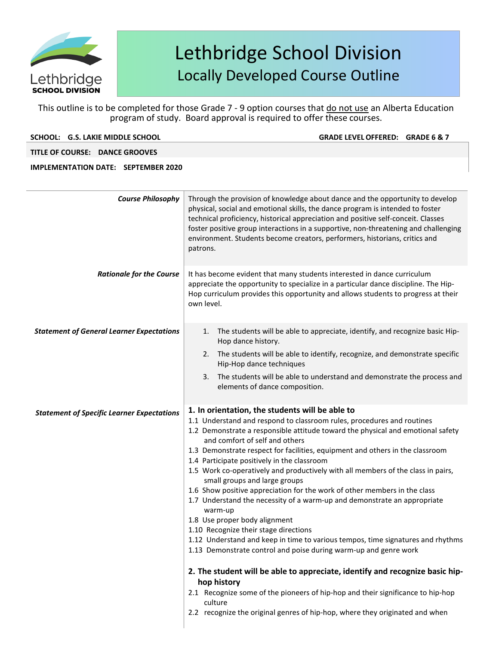

This outline is to be completed for those Grade 7 - 9 option courses that do not use an Alberta Education program of study. Board approval is required to offer these courses.

**SCHOOL: G.S. LAKIE MIDDLE SCHOOL GRADE LEVELOFFERED: GRADE 6 & 7**

**TITLE OF COURSE: DANCE GROOVES** 

| <b>Course Philosophy</b>                          | Through the provision of knowledge about dance and the opportunity to develop<br>physical, social and emotional skills, the dance program is intended to foster<br>technical proficiency, historical appreciation and positive self-conceit. Classes<br>foster positive group interactions in a supportive, non-threatening and challenging<br>environment. Students become creators, performers, historians, critics and<br>patrons.                                                                                                                                                                                                                                                                                                                                                                                                                                                                                                                                                                                                                                                                                                                                                 |  |  |  |  |
|---------------------------------------------------|---------------------------------------------------------------------------------------------------------------------------------------------------------------------------------------------------------------------------------------------------------------------------------------------------------------------------------------------------------------------------------------------------------------------------------------------------------------------------------------------------------------------------------------------------------------------------------------------------------------------------------------------------------------------------------------------------------------------------------------------------------------------------------------------------------------------------------------------------------------------------------------------------------------------------------------------------------------------------------------------------------------------------------------------------------------------------------------------------------------------------------------------------------------------------------------|--|--|--|--|
| <b>Rationale for the Course</b>                   | It has become evident that many students interested in dance curriculum<br>appreciate the opportunity to specialize in a particular dance discipline. The Hip-<br>Hop curriculum provides this opportunity and allows students to progress at their<br>own level.                                                                                                                                                                                                                                                                                                                                                                                                                                                                                                                                                                                                                                                                                                                                                                                                                                                                                                                     |  |  |  |  |
| <b>Statement of General Learner Expectations</b>  | The students will be able to appreciate, identify, and recognize basic Hip-<br>1.<br>Hop dance history.<br>2. The students will be able to identify, recognize, and demonstrate specific<br>Hip-Hop dance techniques<br>The students will be able to understand and demonstrate the process and<br>3.<br>elements of dance composition.                                                                                                                                                                                                                                                                                                                                                                                                                                                                                                                                                                                                                                                                                                                                                                                                                                               |  |  |  |  |
| <b>Statement of Specific Learner Expectations</b> | 1. In orientation, the students will be able to<br>1.1 Understand and respond to classroom rules, procedures and routines<br>1.2 Demonstrate a responsible attitude toward the physical and emotional safety<br>and comfort of self and others<br>1.3 Demonstrate respect for facilities, equipment and others in the classroom<br>1.4 Participate positively in the classroom<br>1.5 Work co-operatively and productively with all members of the class in pairs,<br>small groups and large groups<br>1.6 Show positive appreciation for the work of other members in the class<br>1.7 Understand the necessity of a warm-up and demonstrate an appropriate<br>warm-up<br>1.8 Use proper body alignment<br>1.10 Recognize their stage directions<br>1.12 Understand and keep in time to various tempos, time signatures and rhythms<br>1.13 Demonstrate control and poise during warm-up and genre work<br>2. The student will be able to appreciate, identify and recognize basic hip-<br>hop history<br>2.1 Recognize some of the pioneers of hip-hop and their significance to hip-hop<br>culture<br>2.2 recognize the original genres of hip-hop, where they originated and when |  |  |  |  |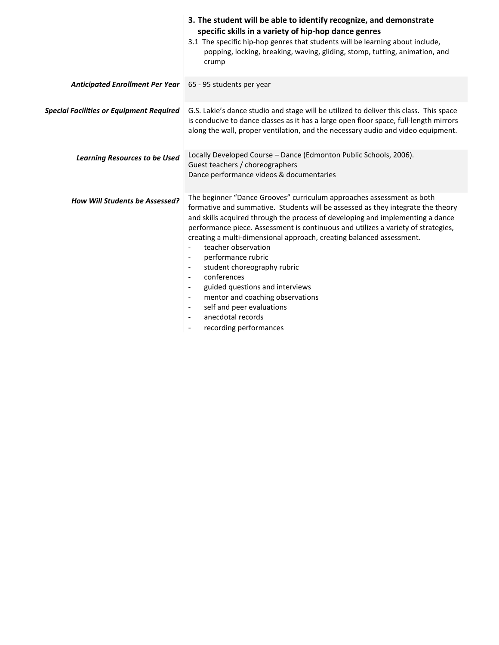|                                                 | 3. The student will be able to identify recognize, and demonstrate<br>specific skills in a variety of hip-hop dance genres<br>3.1 The specific hip-hop genres that students will be learning about include,<br>popping, locking, breaking, waving, gliding, stomp, tutting, animation, and<br>crump                                                                                                                                                                                                                                                                                                                                                                                                                                                                                                       |
|-------------------------------------------------|-----------------------------------------------------------------------------------------------------------------------------------------------------------------------------------------------------------------------------------------------------------------------------------------------------------------------------------------------------------------------------------------------------------------------------------------------------------------------------------------------------------------------------------------------------------------------------------------------------------------------------------------------------------------------------------------------------------------------------------------------------------------------------------------------------------|
| <b>Anticipated Enrollment Per Year</b>          | 65 - 95 students per year                                                                                                                                                                                                                                                                                                                                                                                                                                                                                                                                                                                                                                                                                                                                                                                 |
| <b>Special Facilities or Equipment Required</b> | G.S. Lakie's dance studio and stage will be utilized to deliver this class. This space<br>is conducive to dance classes as it has a large open floor space, full-length mirrors<br>along the wall, proper ventilation, and the necessary audio and video equipment.                                                                                                                                                                                                                                                                                                                                                                                                                                                                                                                                       |
| <b>Learning Resources to be Used</b>            | Locally Developed Course - Dance (Edmonton Public Schools, 2006).<br>Guest teachers / choreographers<br>Dance performance videos & documentaries                                                                                                                                                                                                                                                                                                                                                                                                                                                                                                                                                                                                                                                          |
| How Will Students be Assessed?                  | The beginner "Dance Grooves" curriculum approaches assessment as both<br>formative and summative. Students will be assessed as they integrate the theory<br>and skills acquired through the process of developing and implementing a dance<br>performance piece. Assessment is continuous and utilizes a variety of strategies,<br>creating a multi-dimensional approach, creating balanced assessment.<br>teacher observation<br>$\overline{\phantom{a}}$<br>performance rubric<br>$\overline{\phantom{a}}$<br>student choreography rubric<br>$\overline{\phantom{a}}$<br>conferences<br>$\blacksquare$<br>guided questions and interviews<br>mentor and coaching observations<br>$\overline{\phantom{a}}$<br>self and peer evaluations<br>$\blacksquare$<br>anecdotal records<br>recording performances |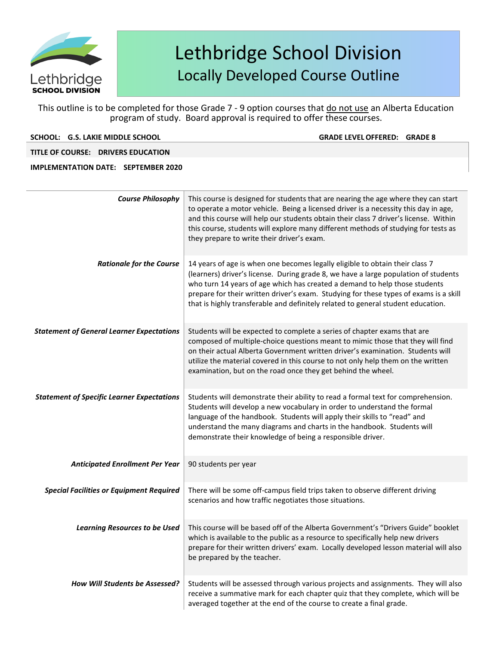

This outline is to be completed for those Grade 7 - 9 option courses that do not use an Alberta Education program of study. Board approval is required to offer these courses.

### **SCHOOL: G.S. LAKIE MIDDLE SCHOOL GRADE LEVELOFFERED: GRADE 8**

**TITLE OF COURSE: DRIVERS EDUCATION** 

| <b>Course Philosophy</b>                          | This course is designed for students that are nearing the age where they can start<br>to operate a motor vehicle. Being a licensed driver is a necessity this day in age,<br>and this course will help our students obtain their class 7 driver's license. Within<br>this course, students will explore many different methods of studying for tests as<br>they prepare to write their driver's exam.                          |
|---------------------------------------------------|--------------------------------------------------------------------------------------------------------------------------------------------------------------------------------------------------------------------------------------------------------------------------------------------------------------------------------------------------------------------------------------------------------------------------------|
| <b>Rationale for the Course</b>                   | 14 years of age is when one becomes legally eligible to obtain their class 7<br>(learners) driver's license. During grade 8, we have a large population of students<br>who turn 14 years of age which has created a demand to help those students<br>prepare for their written driver's exam. Studying for these types of exams is a skill<br>that is highly transferable and definitely related to general student education. |
| <b>Statement of General Learner Expectations</b>  | Students will be expected to complete a series of chapter exams that are<br>composed of multiple-choice questions meant to mimic those that they will find<br>on their actual Alberta Government written driver's examination. Students will<br>utilize the material covered in this course to not only help them on the written<br>examination, but on the road once they get behind the wheel.                               |
| <b>Statement of Specific Learner Expectations</b> | Students will demonstrate their ability to read a formal text for comprehension.<br>Students will develop a new vocabulary in order to understand the formal<br>language of the handbook. Students will apply their skills to "read" and<br>understand the many diagrams and charts in the handbook. Students will<br>demonstrate their knowledge of being a responsible driver.                                               |
| <b>Anticipated Enrollment Per Year</b>            | 90 students per year                                                                                                                                                                                                                                                                                                                                                                                                           |
| <b>Special Facilities or Equipment Required</b>   | There will be some off-campus field trips taken to observe different driving<br>scenarios and how traffic negotiates those situations.                                                                                                                                                                                                                                                                                         |
| <b>Learning Resources to be Used</b>              | This course will be based off of the Alberta Government's "Drivers Guide" booklet<br>which is available to the public as a resource to specifically help new drivers<br>prepare for their written drivers' exam. Locally developed lesson material will also<br>be prepared by the teacher.                                                                                                                                    |
| How Will Students be Assessed?                    | Students will be assessed through various projects and assignments. They will also<br>receive a summative mark for each chapter quiz that they complete, which will be<br>averaged together at the end of the course to create a final grade.                                                                                                                                                                                  |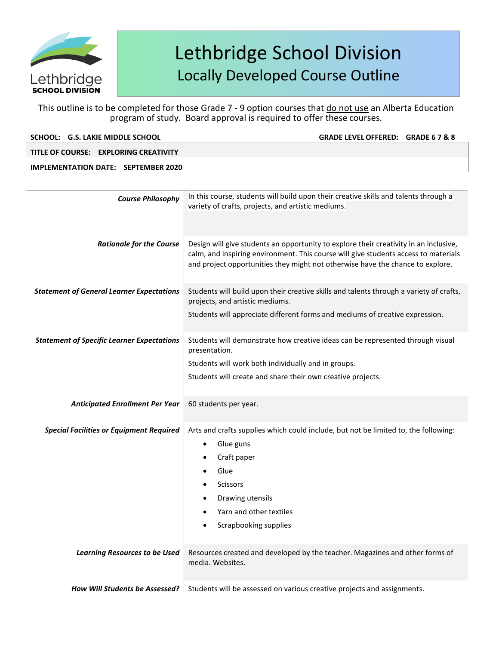

This outline is to be completed for those Grade 7 - 9 option courses that do not use an Alberta Education program of study. Board approval is required to offer these courses.

| SCHOOL: G.S. LAKIE MIDDLE SCHOOL      | GRADE LEVEL OFFERED: GRADE 6 7 & 8                                                   |
|---------------------------------------|--------------------------------------------------------------------------------------|
| TITLE OF COURSE: EXPLORING CREATIVITY |                                                                                      |
| IMPLEMENTATION DATE: SEPTEMBER 2020   |                                                                                      |
|                                       |                                                                                      |
| <b>Course Philosophy</b>              | In this course, students will build upon their creative skills and talents through a |
|                                       | variety of crafts, projects, and artistic mediums.                                   |
|                                       |                                                                                      |
|                                       |                                                                                      |

| <b>Rationale for the Course</b>                   | Design will give students an opportunity to explore their creativity in an inclusive,<br>calm, and inspiring environment. This course will give students access to materials<br>and project opportunities they might not otherwise have the chance to explore. |
|---------------------------------------------------|----------------------------------------------------------------------------------------------------------------------------------------------------------------------------------------------------------------------------------------------------------------|
| <b>Statement of General Learner Expectations</b>  | Students will build upon their creative skills and talents through a variety of crafts,<br>projects, and artistic mediums.<br>Students will appreciate different forms and mediums of creative expression.                                                     |
| <b>Statement of Specific Learner Expectations</b> | Students will demonstrate how creative ideas can be represented through visual<br>presentation.<br>Students will work both individually and in groups.<br>Students will create and share their own creative projects.                                          |
| <b>Anticipated Enrollment Per Year</b>            | 60 students per year.                                                                                                                                                                                                                                          |
| <b>Special Facilities or Equipment Required</b>   | Arts and crafts supplies which could include, but not be limited to, the following:<br>Glue guns<br>$\bullet$<br>Craft paper<br>Glue<br>Scissors<br>Drawing utensils<br>Yarn and other textiles<br>Scrapbooking supplies                                       |
| <b>Learning Resources to be Used</b>              | Resources created and developed by the teacher. Magazines and other forms of<br>media. Websites.                                                                                                                                                               |
| <b>How Will Students be Assessed?</b>             | Students will be assessed on various creative projects and assignments.                                                                                                                                                                                        |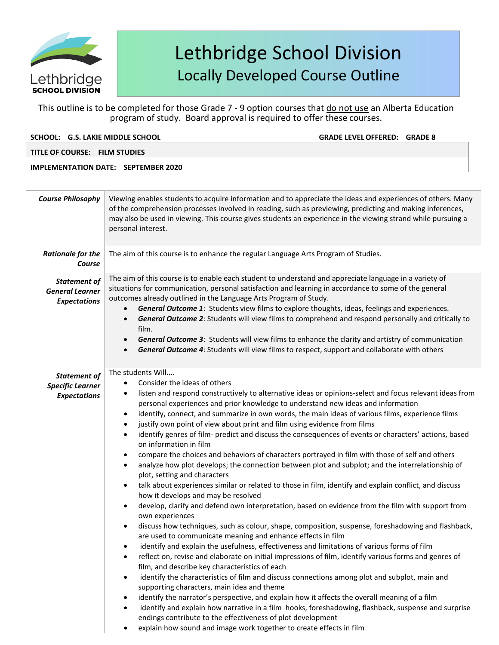

This outline is to be completed for those Grade 7 - 9 option courses that do not use an Alberta Education program of study. Board approval is required to offer these courses.

|  | SCHOOL: G.S. LAKIE MIDDLE SCHOOL |  |
|--|----------------------------------|--|
|--|----------------------------------|--|

**GRADE LEVEL OFFERED: GRADE 8** 

**TITLE OF COURSE: FILM STUDIES** 

### **IMPLEMENTATION DATE: SEPTEMBER 2020**

**Course Philosophy** Viewing enables students to acquire information and to appreciate the ideas and experiences of others. Many of the comprehension processes involved in reading, such as previewing, predicting and making inferences, may also be used in viewing. This course gives students an experience in the viewing strand while pursuing a personal interest. *Rationale for the Course* The aim of this course is to enhance the regular Language Arts Program of Studies. *Statement of General Learner Expectations* The aim of this course is to enable each student to understand and appreciate language in a variety of situations for communication, personal satisfaction and learning in accordance to some of the general outcomes already outlined in the Language Arts Program of Study. • *General Outcome 1*: Students view films to explore thoughts, ideas, feelings and experiences. • *General Outcome 2*: Students will view films to comprehend and respond personally and critically to film. • *General Outcome 3*: Students will view films to enhance the clarity and artistry of communication • *General Outcome 4*: Students will view films to respect, support and collaborate with others *Statement of Specific Learner Expectations* The students Will.... Consider the ideas of others listen and respond constructively to alternative ideas or opinions-select and focus relevant ideas from personal experiences and prior knowledge to understand new ideas and information identify, connect, and summarize in own words, the main ideas of various films, experience films justify own point of view about print and film using evidence from films • identify genres of film- predict and discuss the consequences of events or characters' actions, based on information in film • compare the choices and behaviors of characters portrayed in film with those of self and others • analyze how plot develops; the connection between plot and subplot; and the interrelationship of plot, setting and characters • talk about experiences similar or related to those in film, identify and explain conflict, and discuss how it develops and may be resolved • develop, clarify and defend own interpretation, based on evidence from the film with support from own experiences • discuss how techniques, such as colour, shape, composition, suspense, foreshadowing and flashback, are used to communicate meaning and enhance effects in film identify and explain the usefulness, effectiveness and limitations of various forms of film • reflect on, revise and elaborate on initial impressions of film, identify various forms and genres of film, and describe key characteristics of each • identify the characteristics of film and discuss connections among plot and subplot, main and supporting characters, main idea and theme • identify the narrator's perspective, and explain how it affects the overall meaning of a film identify and explain how narrative in a film hooks, foreshadowing, flashback, suspense and surprise endings contribute to the effectiveness of plot development explain how sound and image work together to create effects in film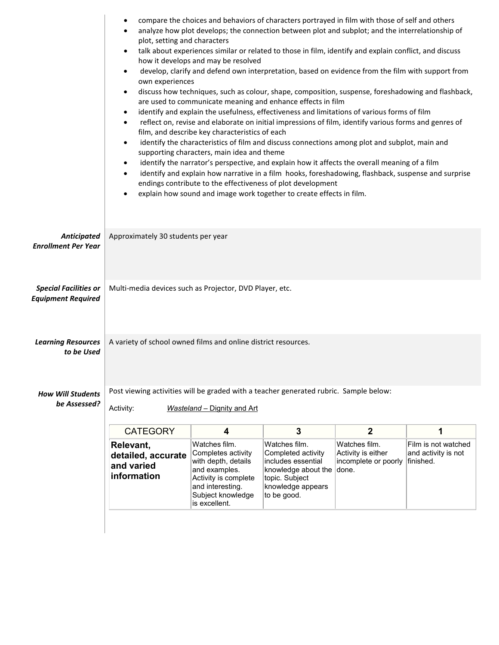|                                                           | compare the choices and behaviors of characters portrayed in film with those of self and others<br>٠<br>analyze how plot develops; the connection between plot and subplot; and the interrelationship of<br>plot, setting and characters<br>talk about experiences similar or related to those in film, identify and explain conflict, and discuss<br>$\bullet$<br>how it develops and may be resolved<br>develop, clarify and defend own interpretation, based on evidence from the film with support from<br>$\bullet$<br>own experiences<br>discuss how techniques, such as colour, shape, composition, suspense, foreshadowing and flashback,<br>$\bullet$<br>are used to communicate meaning and enhance effects in film<br>identify and explain the usefulness, effectiveness and limitations of various forms of film<br>$\bullet$<br>reflect on, revise and elaborate on initial impressions of film, identify various forms and genres of<br>$\bullet$<br>film, and describe key characteristics of each<br>identify the characteristics of film and discuss connections among plot and subplot, main and<br>$\bullet$<br>supporting characters, main idea and theme<br>identify the narrator's perspective, and explain how it affects the overall meaning of a film<br>$\bullet$<br>identify and explain how narrative in a film hooks, foreshadowing, flashback, suspense and surprise<br>$\bullet$<br>endings contribute to the effectiveness of plot development<br>explain how sound and image work together to create effects in film.<br>$\bullet$ |                                                                                                                                                               |                                                                                                                                              |                                                             |                                                         |  |
|-----------------------------------------------------------|---------------------------------------------------------------------------------------------------------------------------------------------------------------------------------------------------------------------------------------------------------------------------------------------------------------------------------------------------------------------------------------------------------------------------------------------------------------------------------------------------------------------------------------------------------------------------------------------------------------------------------------------------------------------------------------------------------------------------------------------------------------------------------------------------------------------------------------------------------------------------------------------------------------------------------------------------------------------------------------------------------------------------------------------------------------------------------------------------------------------------------------------------------------------------------------------------------------------------------------------------------------------------------------------------------------------------------------------------------------------------------------------------------------------------------------------------------------------------------------------------------------------------------------------------------------------|---------------------------------------------------------------------------------------------------------------------------------------------------------------|----------------------------------------------------------------------------------------------------------------------------------------------|-------------------------------------------------------------|---------------------------------------------------------|--|
| <b>Anticipated</b><br><b>Enrollment Per Year</b>          | Approximately 30 students per year                                                                                                                                                                                                                                                                                                                                                                                                                                                                                                                                                                                                                                                                                                                                                                                                                                                                                                                                                                                                                                                                                                                                                                                                                                                                                                                                                                                                                                                                                                                                  |                                                                                                                                                               |                                                                                                                                              |                                                             |                                                         |  |
| <b>Special Facilities or</b><br><b>Equipment Required</b> | Multi-media devices such as Projector, DVD Player, etc.                                                                                                                                                                                                                                                                                                                                                                                                                                                                                                                                                                                                                                                                                                                                                                                                                                                                                                                                                                                                                                                                                                                                                                                                                                                                                                                                                                                                                                                                                                             |                                                                                                                                                               |                                                                                                                                              |                                                             |                                                         |  |
| <b>Learning Resources</b><br>to be Used                   | A variety of school owned films and online district resources.                                                                                                                                                                                                                                                                                                                                                                                                                                                                                                                                                                                                                                                                                                                                                                                                                                                                                                                                                                                                                                                                                                                                                                                                                                                                                                                                                                                                                                                                                                      |                                                                                                                                                               |                                                                                                                                              |                                                             |                                                         |  |
| <b>How Will Students</b><br>be Assessed?                  | Post viewing activities will be graded with a teacher generated rubric. Sample below:<br>Activity:                                                                                                                                                                                                                                                                                                                                                                                                                                                                                                                                                                                                                                                                                                                                                                                                                                                                                                                                                                                                                                                                                                                                                                                                                                                                                                                                                                                                                                                                  | Wasteland - Dignity and Art                                                                                                                                   |                                                                                                                                              |                                                             |                                                         |  |
|                                                           | <b>CATEGORY</b>                                                                                                                                                                                                                                                                                                                                                                                                                                                                                                                                                                                                                                                                                                                                                                                                                                                                                                                                                                                                                                                                                                                                                                                                                                                                                                                                                                                                                                                                                                                                                     | $\overline{\mathbf{4}}$                                                                                                                                       | 3                                                                                                                                            | $\mathbf{2}$                                                | 1                                                       |  |
|                                                           | Relevant,<br>detailed, accurate<br>and varied<br>information                                                                                                                                                                                                                                                                                                                                                                                                                                                                                                                                                                                                                                                                                                                                                                                                                                                                                                                                                                                                                                                                                                                                                                                                                                                                                                                                                                                                                                                                                                        | Watches film.<br>Completes activity<br>with depth, details<br>and examples.<br>Activity is complete<br>and interesting.<br>Subject knowledge<br>is excellent. | Watches film.<br>Completed activity<br>includes essential<br>knowledge about the done.<br>topic. Subject<br>knowledge appears<br>to be good. | Watches film.<br>Activity is either<br>incomplete or poorly | Film is not watched<br>and activity is not<br>finished. |  |
|                                                           |                                                                                                                                                                                                                                                                                                                                                                                                                                                                                                                                                                                                                                                                                                                                                                                                                                                                                                                                                                                                                                                                                                                                                                                                                                                                                                                                                                                                                                                                                                                                                                     |                                                                                                                                                               |                                                                                                                                              |                                                             |                                                         |  |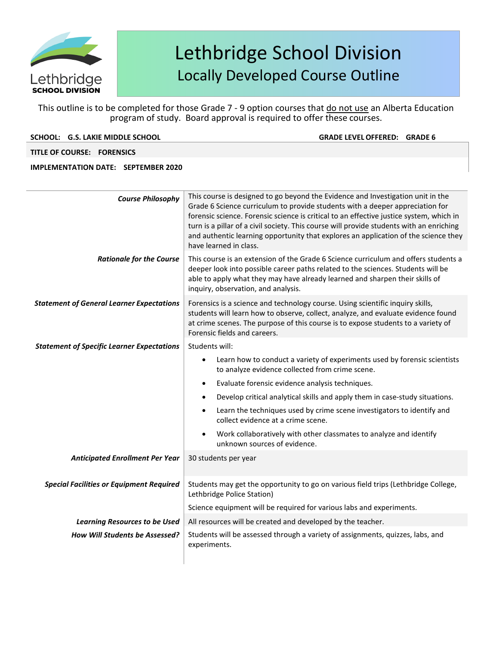

This outline is to be completed for those Grade 7 - 9 option courses that do not use an Alberta Education program of study. Board approval is required to offer these courses.

| SCHOOL: G.S. LAKIE MIDDLE SCHOOL |  |  |
|----------------------------------|--|--|
|                                  |  |  |

**GRADE LEVEL OFFERED: GRADE 6** 

**TITLE OF COURSE: FORENSICS**

| <b>Course Philosophy</b>                          | This course is designed to go beyond the Evidence and Investigation unit in the<br>Grade 6 Science curriculum to provide students with a deeper appreciation for<br>forensic science. Forensic science is critical to an effective justice system, which in<br>turn is a pillar of a civil society. This course will provide students with an enriching<br>and authentic learning opportunity that explores an application of the science they<br>have learned in class. |  |  |  |  |
|---------------------------------------------------|--------------------------------------------------------------------------------------------------------------------------------------------------------------------------------------------------------------------------------------------------------------------------------------------------------------------------------------------------------------------------------------------------------------------------------------------------------------------------|--|--|--|--|
| <b>Rationale for the Course</b>                   | This course is an extension of the Grade 6 Science curriculum and offers students a<br>deeper look into possible career paths related to the sciences. Students will be<br>able to apply what they may have already learned and sharpen their skills of<br>inquiry, observation, and analysis.                                                                                                                                                                           |  |  |  |  |
| <b>Statement of General Learner Expectations</b>  | Forensics is a science and technology course. Using scientific inquiry skills,<br>students will learn how to observe, collect, analyze, and evaluate evidence found<br>at crime scenes. The purpose of this course is to expose students to a variety of<br>Forensic fields and careers.                                                                                                                                                                                 |  |  |  |  |
| <b>Statement of Specific Learner Expectations</b> | Students will:                                                                                                                                                                                                                                                                                                                                                                                                                                                           |  |  |  |  |
|                                                   | Learn how to conduct a variety of experiments used by forensic scientists<br>to analyze evidence collected from crime scene.                                                                                                                                                                                                                                                                                                                                             |  |  |  |  |
|                                                   | Evaluate forensic evidence analysis techniques.<br>$\bullet$                                                                                                                                                                                                                                                                                                                                                                                                             |  |  |  |  |
|                                                   | Develop critical analytical skills and apply them in case-study situations.<br>$\bullet$                                                                                                                                                                                                                                                                                                                                                                                 |  |  |  |  |
|                                                   | Learn the techniques used by crime scene investigators to identify and<br>collect evidence at a crime scene.                                                                                                                                                                                                                                                                                                                                                             |  |  |  |  |
|                                                   | Work collaboratively with other classmates to analyze and identify<br>unknown sources of evidence.                                                                                                                                                                                                                                                                                                                                                                       |  |  |  |  |
| <b>Anticipated Enrollment Per Year</b>            | 30 students per year                                                                                                                                                                                                                                                                                                                                                                                                                                                     |  |  |  |  |
| <b>Special Facilities or Equipment Required</b>   | Students may get the opportunity to go on various field trips (Lethbridge College,<br>Lethbridge Police Station)                                                                                                                                                                                                                                                                                                                                                         |  |  |  |  |
|                                                   | Science equipment will be required for various labs and experiments.                                                                                                                                                                                                                                                                                                                                                                                                     |  |  |  |  |
| <b>Learning Resources to be Used</b>              | All resources will be created and developed by the teacher.                                                                                                                                                                                                                                                                                                                                                                                                              |  |  |  |  |
| <b>How Will Students be Assessed?</b>             | Students will be assessed through a variety of assignments, quizzes, labs, and                                                                                                                                                                                                                                                                                                                                                                                           |  |  |  |  |
|                                                   | experiments.                                                                                                                                                                                                                                                                                                                                                                                                                                                             |  |  |  |  |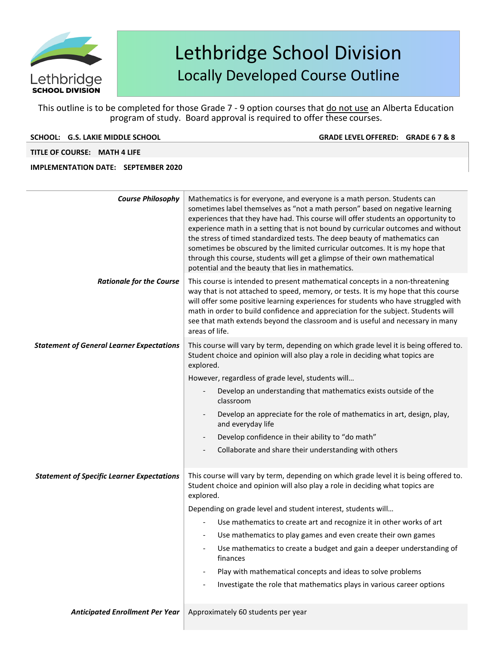

This outline is to be completed for those Grade 7 - 9 option courses that do not use an Alberta Education program of study. Board approval is required to offer these courses.

| SCHOOL: G.S. LAKIE MIDDLE SCHOOL |  |  |
|----------------------------------|--|--|
|                                  |  |  |

**GRADE LEVEL OFFERED: GRADE 6 7 & 8** 

**TITLE OF COURSE: MATH 4 LIFE**

| <b>Course Philosophy</b>                          | Mathematics is for everyone, and everyone is a math person. Students can<br>sometimes label themselves as "not a math person" based on negative learning<br>experiences that they have had. This course will offer students an opportunity to<br>experience math in a setting that is not bound by curricular outcomes and without<br>the stress of timed standardized tests. The deep beauty of mathematics can<br>sometimes be obscured by the limited curricular outcomes. It is my hope that<br>through this course, students will get a glimpse of their own mathematical<br>potential and the beauty that lies in mathematics. |
|---------------------------------------------------|--------------------------------------------------------------------------------------------------------------------------------------------------------------------------------------------------------------------------------------------------------------------------------------------------------------------------------------------------------------------------------------------------------------------------------------------------------------------------------------------------------------------------------------------------------------------------------------------------------------------------------------|
| <b>Rationale for the Course</b>                   | This course is intended to present mathematical concepts in a non-threatening<br>way that is not attached to speed, memory, or tests. It is my hope that this course<br>will offer some positive learning experiences for students who have struggled with<br>math in order to build confidence and appreciation for the subject. Students will<br>see that math extends beyond the classroom and is useful and necessary in many<br>areas of life.                                                                                                                                                                                  |
| <b>Statement of General Learner Expectations</b>  | This course will vary by term, depending on which grade level it is being offered to.<br>Student choice and opinion will also play a role in deciding what topics are<br>explored.<br>However, regardless of grade level, students will<br>Develop an understanding that mathematics exists outside of the<br>classroom<br>Develop an appreciate for the role of mathematics in art, design, play,<br>and everyday life<br>Develop confidence in their ability to "do math"<br>Collaborate and share their understanding with others                                                                                                 |
| <b>Statement of Specific Learner Expectations</b> | This course will vary by term, depending on which grade level it is being offered to.<br>Student choice and opinion will also play a role in deciding what topics are<br>explored.<br>Depending on grade level and student interest, students will<br>Use mathematics to create art and recognize it in other works of art<br>Use mathematics to play games and even create their own games<br>Use mathematics to create a budget and gain a deeper understanding of<br>finances<br>Play with mathematical concepts and ideas to solve problems<br>Investigate the role that mathematics plays in various career options             |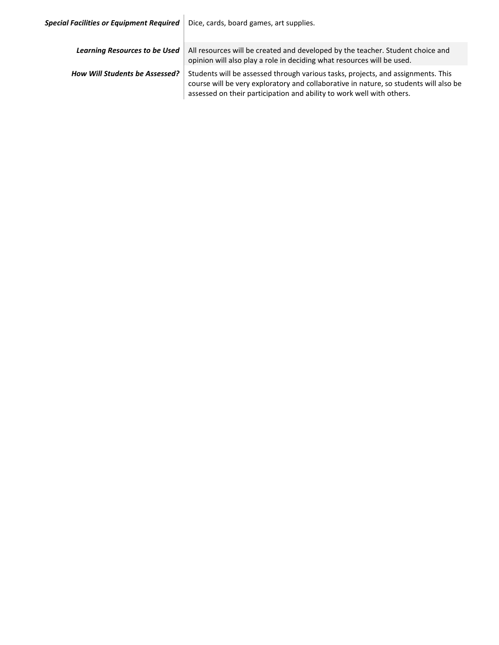| <b>Special Facilities or Equipment Required</b> | Dice, cards, board games, art supplies.                                                                                                                                                                                                            |
|-------------------------------------------------|----------------------------------------------------------------------------------------------------------------------------------------------------------------------------------------------------------------------------------------------------|
| <b>Learning Resources to be Used</b>            | All resources will be created and developed by the teacher. Student choice and<br>opinion will also play a role in deciding what resources will be used.                                                                                           |
| <b>How Will Students be Assessed?</b>           | Students will be assessed through various tasks, projects, and assignments. This<br>course will be very exploratory and collaborative in nature, so students will also be<br>assessed on their participation and ability to work well with others. |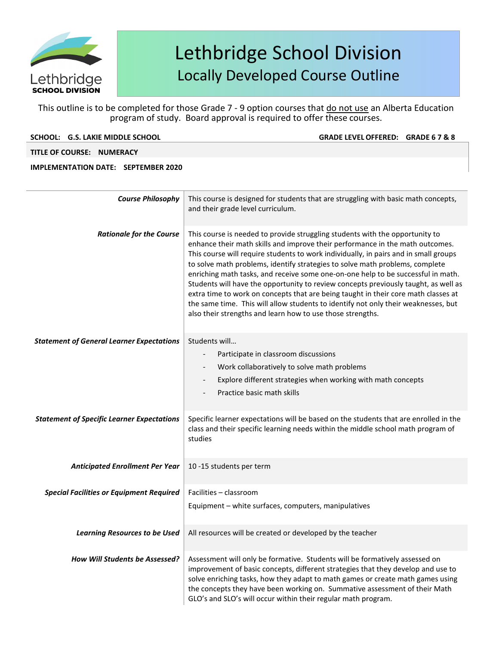

This outline is to be completed for those Grade 7 - 9 option courses that do not use an Alberta Education program of study. Board approval is required to offer these courses.

| SCHOOL: G.S. LAKIE MIDDLE SCHOOL |  |  |
|----------------------------------|--|--|
|                                  |  |  |

**GRADE LEVEL OFFERED: GRADE 6 7 & 8** 

**TITLE OF COURSE: NUMERACY** 

| <b>Course Philosophy</b>                          | This course is designed for students that are struggling with basic math concepts,<br>and their grade level curriculum.                                                                                                                                                                                                                                                                                                                                                                                                                                                                                                                                                                                                                                    |
|---------------------------------------------------|------------------------------------------------------------------------------------------------------------------------------------------------------------------------------------------------------------------------------------------------------------------------------------------------------------------------------------------------------------------------------------------------------------------------------------------------------------------------------------------------------------------------------------------------------------------------------------------------------------------------------------------------------------------------------------------------------------------------------------------------------------|
| <b>Rationale for the Course</b>                   | This course is needed to provide struggling students with the opportunity to<br>enhance their math skills and improve their performance in the math outcomes.<br>This course will require students to work individually, in pairs and in small groups<br>to solve math problems, identify strategies to solve math problems, complete<br>enriching math tasks, and receive some one-on-one help to be successful in math.<br>Students will have the opportunity to review concepts previously taught, as well as<br>extra time to work on concepts that are being taught in their core math classes at<br>the same time. This will allow students to identify not only their weaknesses, but<br>also their strengths and learn how to use those strengths. |
| <b>Statement of General Learner Expectations</b>  | Students will<br>Participate in classroom discussions<br>Work collaboratively to solve math problems<br>Explore different strategies when working with math concepts<br>$\overline{\phantom{0}}$<br>Practice basic math skills                                                                                                                                                                                                                                                                                                                                                                                                                                                                                                                             |
| <b>Statement of Specific Learner Expectations</b> | Specific learner expectations will be based on the students that are enrolled in the<br>class and their specific learning needs within the middle school math program of<br>studies                                                                                                                                                                                                                                                                                                                                                                                                                                                                                                                                                                        |
| <b>Anticipated Enrollment Per Year</b>            | 10 -15 students per term                                                                                                                                                                                                                                                                                                                                                                                                                                                                                                                                                                                                                                                                                                                                   |
| <b>Special Facilities or Equipment Required</b>   | Facilities - classroom<br>Equipment - white surfaces, computers, manipulatives                                                                                                                                                                                                                                                                                                                                                                                                                                                                                                                                                                                                                                                                             |
| <b>Learning Resources to be Used</b>              | All resources will be created or developed by the teacher                                                                                                                                                                                                                                                                                                                                                                                                                                                                                                                                                                                                                                                                                                  |
| <b>How Will Students be Assessed?</b>             | Assessment will only be formative. Students will be formatively assessed on<br>improvement of basic concepts, different strategies that they develop and use to<br>solve enriching tasks, how they adapt to math games or create math games using<br>the concepts they have been working on. Summative assessment of their Math<br>GLO's and SLO's will occur within their regular math program.                                                                                                                                                                                                                                                                                                                                                           |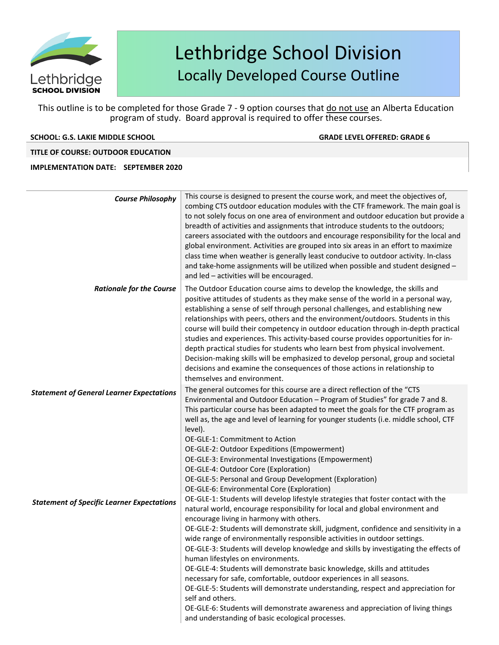

This outline is to be completed for those Grade 7 - 9 option courses that do not use an Alberta Education program of study. Board approval is required to offer these courses.

### **SCHOOL: G.S. LAKIE MIDDLE SCHOOL GRADE LEVELOFFERED: GRADE 6**

### **TITLE OF COURSE: OUTDOOR EDUCATION**

| <b>Course Philosophy</b>                          | This course is designed to present the course work, and meet the objectives of,<br>combing CTS outdoor education modules with the CTF framework. The main goal is<br>to not solely focus on one area of environment and outdoor education but provide a<br>breadth of activities and assignments that introduce students to the outdoors;<br>careers associated with the outdoors and encourage responsibility for the local and<br>global environment. Activities are grouped into six areas in an effort to maximize<br>class time when weather is generally least conducive to outdoor activity. In-class<br>and take-home assignments will be utilized when possible and student designed -<br>and led - activities will be encouraged.                                                                                                                                                                        |
|---------------------------------------------------|--------------------------------------------------------------------------------------------------------------------------------------------------------------------------------------------------------------------------------------------------------------------------------------------------------------------------------------------------------------------------------------------------------------------------------------------------------------------------------------------------------------------------------------------------------------------------------------------------------------------------------------------------------------------------------------------------------------------------------------------------------------------------------------------------------------------------------------------------------------------------------------------------------------------|
| <b>Rationale for the Course</b>                   | The Outdoor Education course aims to develop the knowledge, the skills and<br>positive attitudes of students as they make sense of the world in a personal way,<br>establishing a sense of self through personal challenges, and establishing new<br>relationships with peers, others and the environment/outdoors. Students in this<br>course will build their competency in outdoor education through in-depth practical<br>studies and experiences. This activity-based course provides opportunities for in-<br>depth practical studies for students who learn best from physical involvement.<br>Decision-making skills will be emphasized to develop personal, group and societal<br>decisions and examine the consequences of those actions in relationship to<br>themselves and environment.                                                                                                               |
| <b>Statement of General Learner Expectations</b>  | The general outcomes for this course are a direct reflection of the "CTS<br>Environmental and Outdoor Education - Program of Studies" for grade 7 and 8.<br>This particular course has been adapted to meet the goals for the CTF program as<br>well as, the age and level of learning for younger students (i.e. middle school, CTF<br>level).<br>OE-GLE-1: Commitment to Action<br>OE-GLE-2: Outdoor Expeditions (Empowerment)<br>OE-GLE-3: Environmental Investigations (Empowerment)<br>OE-GLE-4: Outdoor Core (Exploration)<br>OE-GLE-5: Personal and Group Development (Exploration)<br>OE-GLE-6: Environmental Core (Exploration)                                                                                                                                                                                                                                                                           |
| <b>Statement of Specific Learner Expectations</b> | OE-GLE-1: Students will develop lifestyle strategies that foster contact with the<br>natural world, encourage responsibility for local and global environment and<br>encourage living in harmony with others.<br>OE-GLE-2: Students will demonstrate skill, judgment, confidence and sensitivity in a<br>wide range of environmentally responsible activities in outdoor settings.<br>OE-GLE-3: Students will develop knowledge and skills by investigating the effects of<br>human lifestyles on environments.<br>OE-GLE-4: Students will demonstrate basic knowledge, skills and attitudes<br>necessary for safe, comfortable, outdoor experiences in all seasons.<br>OE-GLE-5: Students will demonstrate understanding, respect and appreciation for<br>self and others.<br>OE-GLE-6: Students will demonstrate awareness and appreciation of living things<br>and understanding of basic ecological processes. |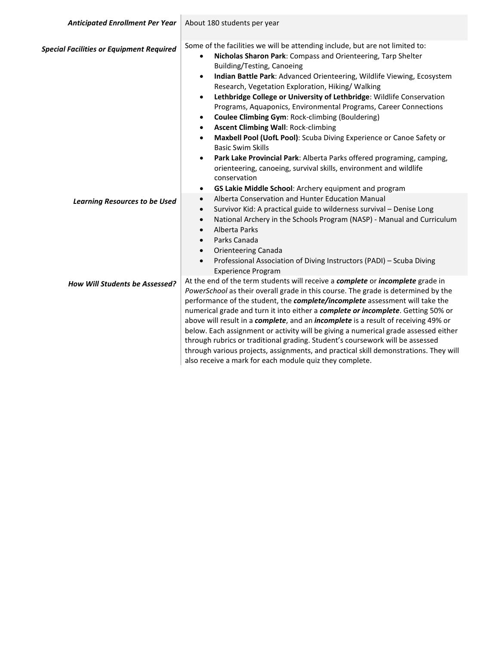| <b>Anticipated Enrollment Per Year</b>          | About 180 students per year                                                                                                                                                                                                                                                                                                                                                                                                                                                                                                                                                                                                                                                                                                                                                                                                                                                                                                                                                                |
|-------------------------------------------------|--------------------------------------------------------------------------------------------------------------------------------------------------------------------------------------------------------------------------------------------------------------------------------------------------------------------------------------------------------------------------------------------------------------------------------------------------------------------------------------------------------------------------------------------------------------------------------------------------------------------------------------------------------------------------------------------------------------------------------------------------------------------------------------------------------------------------------------------------------------------------------------------------------------------------------------------------------------------------------------------|
| <b>Special Facilities or Equipment Required</b> | Some of the facilities we will be attending include, but are not limited to:<br>Nicholas Sharon Park: Compass and Orienteering, Tarp Shelter<br>$\bullet$<br>Building/Testing, Canoeing<br>Indian Battle Park: Advanced Orienteering, Wildlife Viewing, Ecosystem<br>$\bullet$<br>Research, Vegetation Exploration, Hiking/ Walking<br>Lethbridge College or University of Lethbridge: Wildlife Conservation<br>$\bullet$<br>Programs, Aquaponics, Environmental Programs, Career Connections<br>Coulee Climbing Gym: Rock-climbing (Bouldering)<br>$\bullet$<br><b>Ascent Climbing Wall: Rock-climbing</b><br>$\bullet$<br>Maxbell Pool (UofL Pool): Scuba Diving Experience or Canoe Safety or<br>$\bullet$<br><b>Basic Swim Skills</b><br>Park Lake Provincial Park: Alberta Parks offered programing, camping,<br>$\bullet$<br>orienteering, canoeing, survival skills, environment and wildlife<br>conservation<br>GS Lakie Middle School: Archery equipment and program<br>$\bullet$ |
| <b>Learning Resources to be Used</b>            | Alberta Conservation and Hunter Education Manual<br>$\bullet$<br>Survivor Kid: A practical guide to wilderness survival - Denise Long<br>$\bullet$<br>National Archery in the Schools Program (NASP) - Manual and Curriculum<br>$\bullet$<br>Alberta Parks<br>$\bullet$<br>Parks Canada<br>$\bullet$<br><b>Orienteering Canada</b><br>$\bullet$<br>Professional Association of Diving Instructors (PADI) - Scuba Diving<br>$\bullet$<br><b>Experience Program</b>                                                                                                                                                                                                                                                                                                                                                                                                                                                                                                                          |
| How Will Students be Assessed?                  | At the end of the term students will receive a complete or incomplete grade in<br>PowerSchool as their overall grade in this course. The grade is determined by the<br>performance of the student, the complete/incomplete assessment will take the<br>numerical grade and turn it into either a complete or incomplete. Getting 50% or<br>above will result in a complete, and an <i>incomplete</i> is a result of receiving 49% or<br>below. Each assignment or activity will be giving a numerical grade assessed either<br>through rubrics or traditional grading. Student's coursework will be assessed<br>through various projects, assignments, and practical skill demonstrations. They will<br>also receive a mark for each module quiz they complete.                                                                                                                                                                                                                            |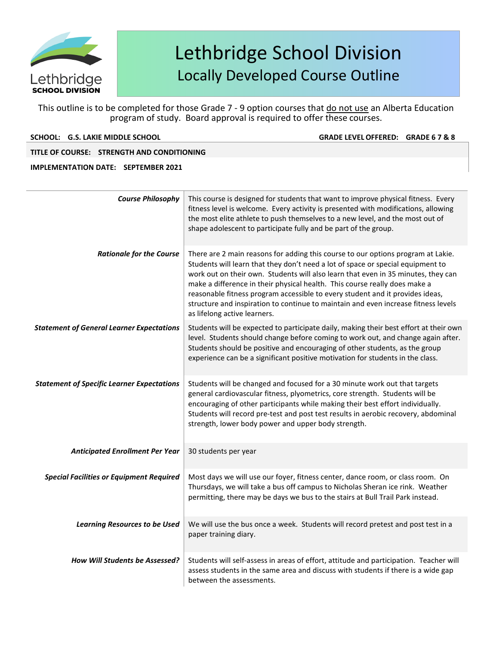

This outline is to be completed for those Grade 7 - 9 option courses that do not use an Alberta Education program of study. Board approval is required to offer these courses.

**SCHOOL: G.S. LAKIE MIDDLE SCHOOL GRADE LEVELOFFERED: GRADE 6 7 & 8** 

### **TITLE OF COURSE: STRENGTH AND CONDITIONING**

| <b>Course Philosophy</b>                          | This course is designed for students that want to improve physical fitness. Every<br>fitness level is welcome. Every activity is presented with modifications, allowing<br>the most elite athlete to push themselves to a new level, and the most out of<br>shape adolescent to participate fully and be part of the group.                                                                                                                                                                                                                   |
|---------------------------------------------------|-----------------------------------------------------------------------------------------------------------------------------------------------------------------------------------------------------------------------------------------------------------------------------------------------------------------------------------------------------------------------------------------------------------------------------------------------------------------------------------------------------------------------------------------------|
| <b>Rationale for the Course</b>                   | There are 2 main reasons for adding this course to our options program at Lakie.<br>Students will learn that they don't need a lot of space or special equipment to<br>work out on their own. Students will also learn that even in 35 minutes, they can<br>make a difference in their physical health. This course really does make a<br>reasonable fitness program accessible to every student and it provides ideas,<br>structure and inspiration to continue to maintain and even increase fitness levels<br>as lifelong active learners. |
| <b>Statement of General Learner Expectations</b>  | Students will be expected to participate daily, making their best effort at their own<br>level. Students should change before coming to work out, and change again after.<br>Students should be positive and encouraging of other students, as the group<br>experience can be a significant positive motivation for students in the class.                                                                                                                                                                                                    |
| <b>Statement of Specific Learner Expectations</b> | Students will be changed and focused for a 30 minute work out that targets<br>general cardiovascular fitness, plyometrics, core strength. Students will be<br>encouraging of other participants while making their best effort individually.<br>Students will record pre-test and post test results in aerobic recovery, abdominal<br>strength, lower body power and upper body strength.                                                                                                                                                     |
| <b>Anticipated Enrollment Per Year</b>            | 30 students per year                                                                                                                                                                                                                                                                                                                                                                                                                                                                                                                          |
| <b>Special Facilities or Equipment Required</b>   | Most days we will use our foyer, fitness center, dance room, or class room. On<br>Thursdays, we will take a bus off campus to Nicholas Sheran ice rink. Weather<br>permitting, there may be days we bus to the stairs at Bull Trail Park instead.                                                                                                                                                                                                                                                                                             |
| <b>Learning Resources to be Used</b>              | We will use the bus once a week. Students will record pretest and post test in a<br>paper training diary.                                                                                                                                                                                                                                                                                                                                                                                                                                     |
| <b>How Will Students be Assessed?</b>             | Students will self-assess in areas of effort, attitude and participation. Teacher will<br>assess students in the same area and discuss with students if there is a wide gap<br>between the assessments.                                                                                                                                                                                                                                                                                                                                       |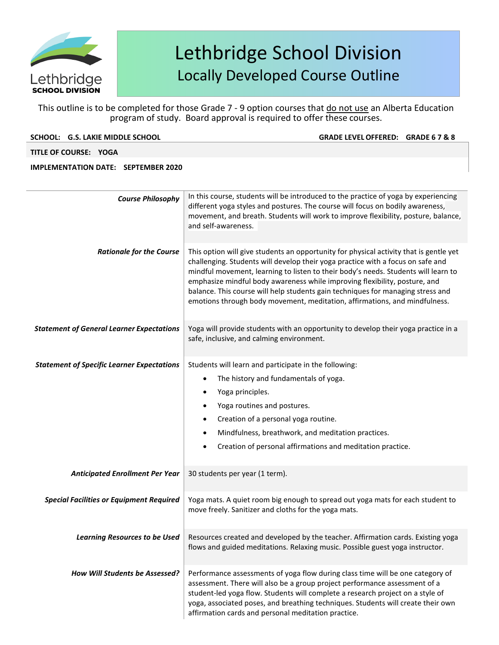

This outline is to be completed for those Grade 7 - 9 option courses that do not use an Alberta Education program of study. Board approval is required to offer these courses.

| SCHOOL: G.S. LAKIE MIDDLE SCHOOL                  | GRADE LEVEL OFFERED: GRADE 6 7 & 8                                                                                                                                                                                                                                                                                                                                                                                                                                                                             |
|---------------------------------------------------|----------------------------------------------------------------------------------------------------------------------------------------------------------------------------------------------------------------------------------------------------------------------------------------------------------------------------------------------------------------------------------------------------------------------------------------------------------------------------------------------------------------|
| TITLE OF COURSE: YOGA                             |                                                                                                                                                                                                                                                                                                                                                                                                                                                                                                                |
| <b>IMPLEMENTATION DATE: SEPTEMBER 2020</b>        |                                                                                                                                                                                                                                                                                                                                                                                                                                                                                                                |
| <b>Course Philosophy</b>                          | In this course, students will be introduced to the practice of yoga by experiencing<br>different yoga styles and postures. The course will focus on bodily awareness,<br>movement, and breath. Students will work to improve flexibility, posture, balance,<br>and self-awareness.                                                                                                                                                                                                                             |
| <b>Rationale for the Course</b>                   | This option will give students an opportunity for physical activity that is gentle yet<br>challenging. Students will develop their yoga practice with a focus on safe and<br>mindful movement, learning to listen to their body's needs. Students will learn to<br>emphasize mindful body awareness while improving flexibility, posture, and<br>balance. This course will help students gain techniques for managing stress and<br>emotions through body movement, meditation, affirmations, and mindfulness. |
| <b>Statement of General Learner Expectations</b>  | Yoga will provide students with an opportunity to develop their yoga practice in a<br>safe, inclusive, and calming environment.                                                                                                                                                                                                                                                                                                                                                                                |
| <b>Statement of Specific Learner Expectations</b> | Students will learn and participate in the following:<br>The history and fundamentals of yoga.<br>$\bullet$<br>Yoga principles.<br>Yoga routines and postures.<br>Creation of a personal yoga routine.<br>Mindfulness, breathwork, and meditation practices.<br>Creation of personal affirmations and meditation practice.                                                                                                                                                                                     |
| <b>Anticipated Enrollment Per Year</b>            | 30 students per year (1 term).                                                                                                                                                                                                                                                                                                                                                                                                                                                                                 |

**Special Facilities or Equipment Required** | Yoga mats. A quiet room big enough to spread out yoga mats for each student to

move freely. Sanitizer and cloths for the yoga mats.

flows and guided meditations. Relaxing music. Possible guest yoga instructor.

assessment. There will also be a group project performance assessment of a student-led yoga flow. Students will complete a research project on a style of yoga, associated poses, and breathing techniques. Students will create their own

Learning Resources to be Used Resources created and developed by the teacher. Affirmation cards. Existing yoga

How Will Students be Assessed? | Performance assessments of yoga flow during class time will be one category of

affirmation cards and personal meditation practice.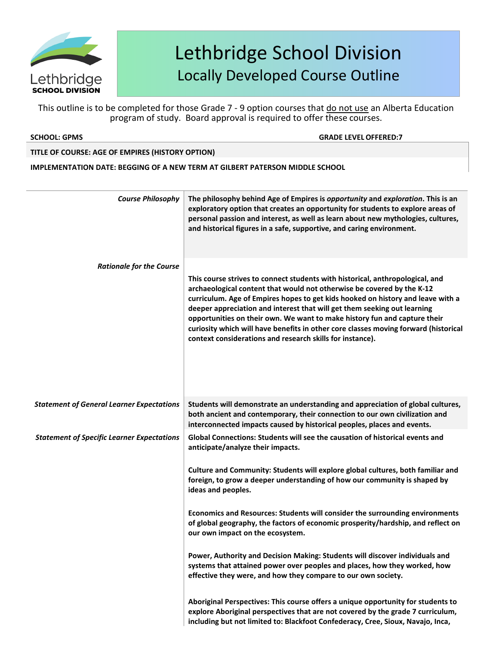

This outline is to be completed for those Grade 7 - 9 option courses that do not use an Alberta Education program of study. Board approval is required to offer these courses.

**SCHOOL: GPMS GRADE LEVELOFFERED:7**

### **TITLE OF COURSE: AGE OF EMPIRES (HISTORY OPTION)**

**IMPLEMENTATION DATE: BEGGING OF A NEW TERM AT GILBERT PATERSON MIDDLE SCHOOL**

| <b>Course Philosophy</b>                          | The philosophy behind Age of Empires is opportunity and exploration. This is an<br>exploratory option that creates an opportunity for students to explore areas of<br>personal passion and interest, as well as learn about new mythologies, cultures,<br>and historical figures in a safe, supportive, and caring environment.                                                                                                                                                                                                                         |
|---------------------------------------------------|---------------------------------------------------------------------------------------------------------------------------------------------------------------------------------------------------------------------------------------------------------------------------------------------------------------------------------------------------------------------------------------------------------------------------------------------------------------------------------------------------------------------------------------------------------|
| <b>Rationale for the Course</b>                   |                                                                                                                                                                                                                                                                                                                                                                                                                                                                                                                                                         |
|                                                   | This course strives to connect students with historical, anthropological, and<br>archaeological content that would not otherwise be covered by the K-12<br>curriculum. Age of Empires hopes to get kids hooked on history and leave with a<br>deeper appreciation and interest that will get them seeking out learning<br>opportunities on their own. We want to make history fun and capture their<br>curiosity which will have benefits in other core classes moving forward (historical<br>context considerations and research skills for instance). |
| <b>Statement of General Learner Expectations</b>  | Students will demonstrate an understanding and appreciation of global cultures,<br>both ancient and contemporary, their connection to our own civilization and<br>interconnected impacts caused by historical peoples, places and events.                                                                                                                                                                                                                                                                                                               |
| <b>Statement of Specific Learner Expectations</b> | Global Connections: Students will see the causation of historical events and<br>anticipate/analyze their impacts.                                                                                                                                                                                                                                                                                                                                                                                                                                       |
|                                                   | Culture and Community: Students will explore global cultures, both familiar and<br>foreign, to grow a deeper understanding of how our community is shaped by<br>ideas and peoples.                                                                                                                                                                                                                                                                                                                                                                      |
|                                                   | Economics and Resources: Students will consider the surrounding environments<br>of global geography, the factors of economic prosperity/hardship, and reflect on<br>our own impact on the ecosystem.                                                                                                                                                                                                                                                                                                                                                    |
|                                                   | Power, Authority and Decision Making: Students will discover individuals and<br>systems that attained power over peoples and places, how they worked, how<br>effective they were, and how they compare to our own society.                                                                                                                                                                                                                                                                                                                              |
|                                                   | Aboriginal Perspectives: This course offers a unique opportunity for students to<br>explore Aboriginal perspectives that are not covered by the grade 7 curriculum,<br>including but not limited to: Blackfoot Confederacy, Cree, Sioux, Navajo, Inca,                                                                                                                                                                                                                                                                                                  |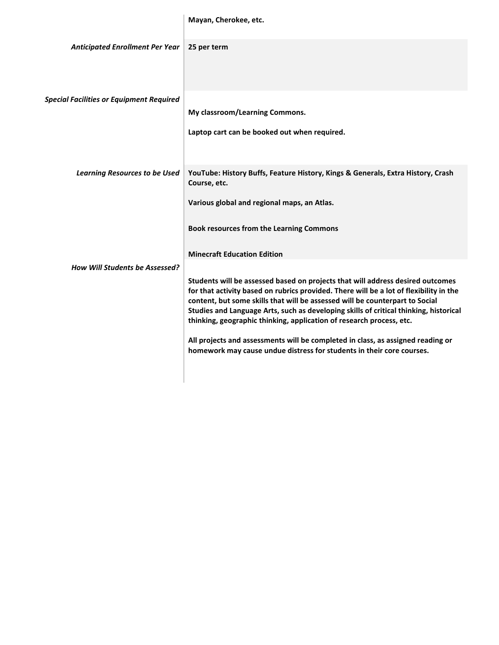| Mayan, Cherokee, etc. |
|-----------------------|
|-----------------------|

 $\begin{array}{c} \hline \end{array}$ 

| <b>Anticipated Enrollment Per Year</b>          | 25 per term                                                                                                                                                                                                                                                                                                                                                                                                               |
|-------------------------------------------------|---------------------------------------------------------------------------------------------------------------------------------------------------------------------------------------------------------------------------------------------------------------------------------------------------------------------------------------------------------------------------------------------------------------------------|
| <b>Special Facilities or Equipment Required</b> |                                                                                                                                                                                                                                                                                                                                                                                                                           |
|                                                 | My classroom/Learning Commons.                                                                                                                                                                                                                                                                                                                                                                                            |
|                                                 | Laptop cart can be booked out when required.                                                                                                                                                                                                                                                                                                                                                                              |
| <b>Learning Resources to be Used</b>            | YouTube: History Buffs, Feature History, Kings & Generals, Extra History, Crash<br>Course, etc.                                                                                                                                                                                                                                                                                                                           |
|                                                 | Various global and regional maps, an Atlas.                                                                                                                                                                                                                                                                                                                                                                               |
|                                                 | Book resources from the Learning Commons                                                                                                                                                                                                                                                                                                                                                                                  |
|                                                 | <b>Minecraft Education Edition</b>                                                                                                                                                                                                                                                                                                                                                                                        |
| <b>How Will Students be Assessed?</b>           |                                                                                                                                                                                                                                                                                                                                                                                                                           |
|                                                 | Students will be assessed based on projects that will address desired outcomes<br>for that activity based on rubrics provided. There will be a lot of flexibility in the<br>content, but some skills that will be assessed will be counterpart to Social<br>Studies and Language Arts, such as developing skills of critical thinking, historical<br>thinking, geographic thinking, application of research process, etc. |
|                                                 | All projects and assessments will be completed in class, as assigned reading or<br>homework may cause undue distress for students in their core courses.                                                                                                                                                                                                                                                                  |
|                                                 |                                                                                                                                                                                                                                                                                                                                                                                                                           |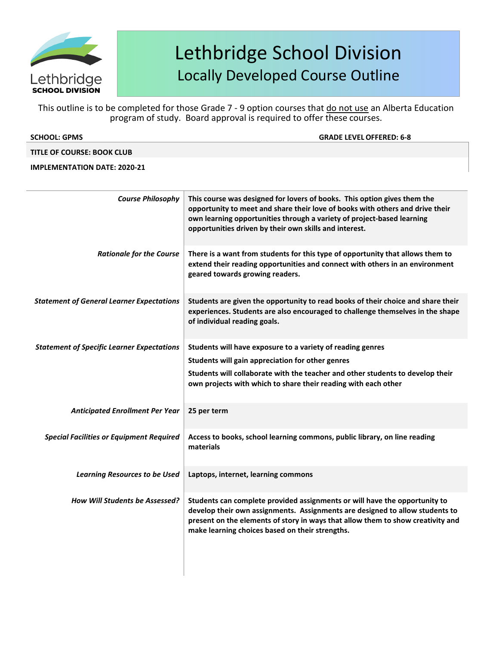

This outline is to be completed for those Grade 7 - 9 option courses that do not use an Alberta Education program of study. Board approval is required to offer these courses.

| <b>SCHOOL: GPMS</b>                 | <b>GRADE LEVEL OFFERED: 6-8</b> |
|-------------------------------------|---------------------------------|
| TITLE OF COURSE: BOOK CLUB          |                                 |
| <b>IMPLEMENTATION DATE: 2020-21</b> |                                 |
|                                     |                                 |

| <b>Course Philosophy</b>                          | This course was designed for lovers of books. This option gives them the<br>opportunity to meet and share their love of books with others and drive their<br>own learning opportunities through a variety of project-based learning<br>opportunities driven by their own skills and interest.    |
|---------------------------------------------------|--------------------------------------------------------------------------------------------------------------------------------------------------------------------------------------------------------------------------------------------------------------------------------------------------|
| <b>Rationale for the Course</b>                   | There is a want from students for this type of opportunity that allows them to<br>extend their reading opportunities and connect with others in an environment<br>geared towards growing readers.                                                                                                |
| <b>Statement of General Learner Expectations</b>  | Students are given the opportunity to read books of their choice and share their<br>experiences. Students are also encouraged to challenge themselves in the shape<br>of individual reading goals.                                                                                               |
| <b>Statement of Specific Learner Expectations</b> | Students will have exposure to a variety of reading genres                                                                                                                                                                                                                                       |
|                                                   | Students will gain appreciation for other genres                                                                                                                                                                                                                                                 |
|                                                   | Students will collaborate with the teacher and other students to develop their<br>own projects with which to share their reading with each other                                                                                                                                                 |
| <b>Anticipated Enrollment Per Year</b>            | 25 per term                                                                                                                                                                                                                                                                                      |
| <b>Special Facilities or Equipment Required</b>   | Access to books, school learning commons, public library, on line reading<br>materials                                                                                                                                                                                                           |
| <b>Learning Resources to be Used</b>              | Laptops, internet, learning commons                                                                                                                                                                                                                                                              |
| <b>How Will Students be Assessed?</b>             | Students can complete provided assignments or will have the opportunity to<br>develop their own assignments. Assignments are designed to allow students to<br>present on the elements of story in ways that allow them to show creativity and<br>make learning choices based on their strengths. |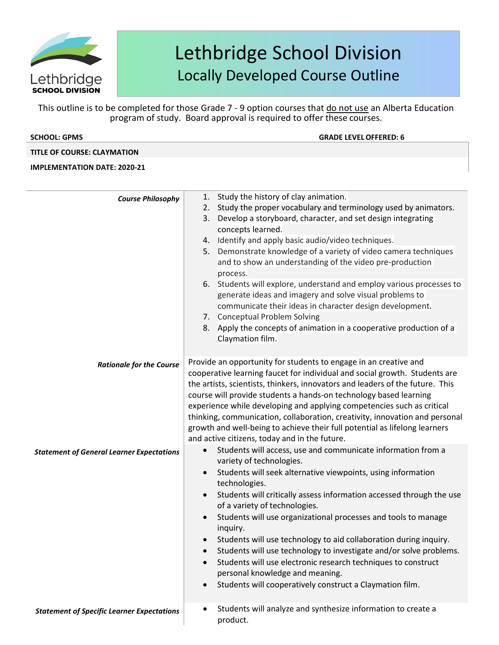

This outline is to be completed for those Grade 7 - 9 option courses that do not use an Alberta Education program of study. Board approval is required to offer these courses.

**GRADE LEVEL OFFERED: 6** 

### **TITLE OF COURSE: CLAYMATION**

| <b>Course Philosophy</b>                          | Study the history of clay animation.<br>1.                                    |
|---------------------------------------------------|-------------------------------------------------------------------------------|
|                                                   | Study the proper vocabulary and terminology used by animators.<br>2.          |
|                                                   | Develop a storyboard, character, and set design integrating<br>3.             |
|                                                   | concepts learned.                                                             |
|                                                   | 4. Identify and apply basic audio/video techniques.                           |
|                                                   | Demonstrate knowledge of a variety of video camera techniques<br>5.           |
|                                                   | and to show an understanding of the video pre-production                      |
|                                                   | process.                                                                      |
|                                                   | 6. Students will explore, understand and employ various processes to          |
|                                                   | generate ideas and imagery and solve visual problems to                       |
|                                                   | communicate their ideas in character design development.                      |
|                                                   | 7. Conceptual Problem Solving                                                 |
|                                                   | 8. Apply the concepts of animation in a cooperative production of a           |
|                                                   | Claymation film.                                                              |
|                                                   | Provide an opportunity for students to engage in an creative and              |
| <b>Rationale for the Course</b>                   | cooperative learning faucet for individual and social growth. Students are    |
|                                                   | the artists, scientists, thinkers, innovators and leaders of the future. This |
|                                                   | course will provide students a hands-on technology based learning             |
|                                                   | experience while developing and applying competencies such as critical        |
|                                                   | thinking, communication, collaboration, creativity, innovation and personal   |
|                                                   | growth and well-being to achieve their full potential as lifelong learners    |
|                                                   | and active citizens, today and in the future.                                 |
| <b>Statement of General Learner Expectations</b>  | Students will access, use and communicate information from a                  |
|                                                   | variety of technologies.                                                      |
|                                                   | Students will seek alternative viewpoints, using information                  |
|                                                   | technologies.                                                                 |
|                                                   | Students will critically assess information accessed through the use          |
|                                                   | of a variety of technologies.                                                 |
|                                                   | Students will use organizational processes and tools to manage                |
|                                                   | inquiry.                                                                      |
|                                                   | Students will use technology to aid collaboration during inquiry.             |
|                                                   | Students will use technology to investigate and/or solve problems.            |
|                                                   | Students will use electronic research techniques to construct                 |
|                                                   | personal knowledge and meaning.                                               |
|                                                   | Students will cooperatively construct a Claymation film.                      |
| <b>Statement of Specific Learner Expectations</b> | Students will analyze and synthesize information to create a                  |
|                                                   | product.                                                                      |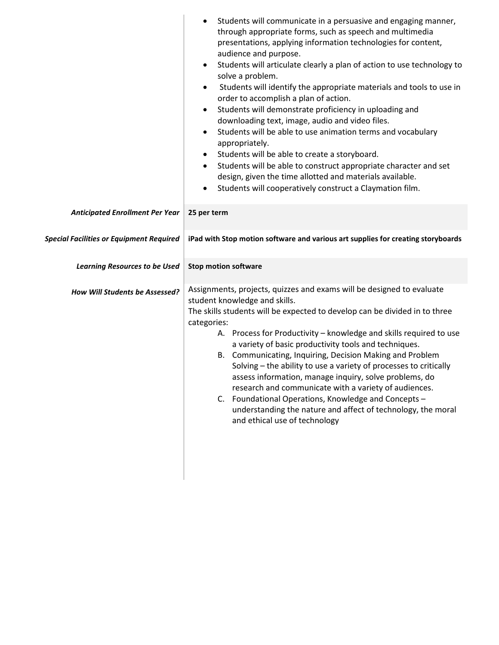|                                                 | Students will communicate in a persuasive and engaging manner,<br>through appropriate forms, such as speech and multimedia<br>presentations, applying information technologies for content,<br>audience and purpose.<br>Students will articulate clearly a plan of action to use technology to<br>$\bullet$<br>solve a problem.<br>Students will identify the appropriate materials and tools to use in<br>$\bullet$<br>order to accomplish a plan of action.<br>Students will demonstrate proficiency in uploading and<br>$\bullet$<br>downloading text, image, audio and video files.<br>Students will be able to use animation terms and vocabulary<br>$\bullet$<br>appropriately.<br>Students will be able to create a storyboard.<br>$\bullet$<br>Students will be able to construct appropriate character and set<br>$\bullet$<br>design, given the time allotted and materials available.<br>Students will cooperatively construct a Claymation film. |
|-------------------------------------------------|--------------------------------------------------------------------------------------------------------------------------------------------------------------------------------------------------------------------------------------------------------------------------------------------------------------------------------------------------------------------------------------------------------------------------------------------------------------------------------------------------------------------------------------------------------------------------------------------------------------------------------------------------------------------------------------------------------------------------------------------------------------------------------------------------------------------------------------------------------------------------------------------------------------------------------------------------------------|
| <b>Anticipated Enrollment Per Year</b>          | 25 per term                                                                                                                                                                                                                                                                                                                                                                                                                                                                                                                                                                                                                                                                                                                                                                                                                                                                                                                                                  |
|                                                 |                                                                                                                                                                                                                                                                                                                                                                                                                                                                                                                                                                                                                                                                                                                                                                                                                                                                                                                                                              |
| <b>Special Facilities or Equipment Required</b> | iPad with Stop motion software and various art supplies for creating storyboards                                                                                                                                                                                                                                                                                                                                                                                                                                                                                                                                                                                                                                                                                                                                                                                                                                                                             |
| <b>Learning Resources to be Used</b>            | <b>Stop motion software</b>                                                                                                                                                                                                                                                                                                                                                                                                                                                                                                                                                                                                                                                                                                                                                                                                                                                                                                                                  |
| How Will Students be Assessed?                  | Assignments, projects, quizzes and exams will be designed to evaluate<br>student knowledge and skills.<br>The skills students will be expected to develop can be divided in to three<br>categories:<br>A. Process for Productivity - knowledge and skills required to use<br>a variety of basic productivity tools and techniques.<br>B. Communicating, Inquiring, Decision Making and Problem<br>Solving - the ability to use a variety of processes to critically<br>assess information, manage inquiry, solve problems, do<br>research and communicate with a variety of audiences.<br>C. Foundational Operations, Knowledge and Concepts -<br>understanding the nature and affect of technology, the moral<br>and ethical use of technology                                                                                                                                                                                                              |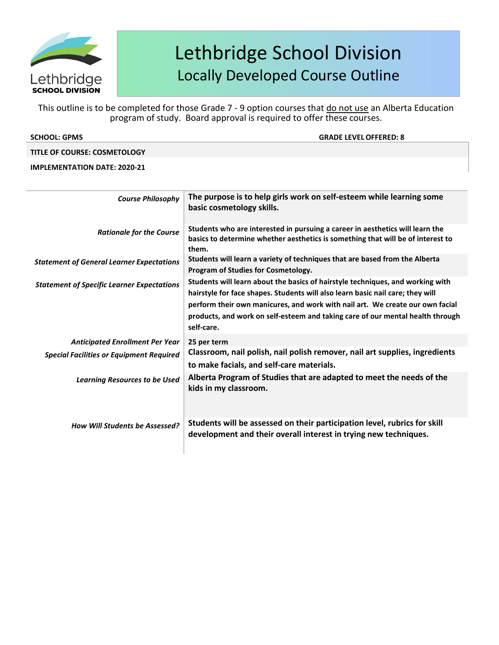

This outline is to be completed for those Grade 7 - 9 option courses that do not use an Alberta Education program of study. Board approval is required to offer these courses.

| <b>SCHOOL: GPMS</b>                 | <b>GRADE LEVEL OFFERED: 8</b> |
|-------------------------------------|-------------------------------|
| <b>TITLE OF COURSE: COSMETOLOGY</b> |                               |

| <b>Course Philosophy</b>                          | The purpose is to help girls work on self-esteem while learning some<br>basic cosmetology skills.                                                                                                                                                                                                                                                 |
|---------------------------------------------------|---------------------------------------------------------------------------------------------------------------------------------------------------------------------------------------------------------------------------------------------------------------------------------------------------------------------------------------------------|
| <b>Rationale for the Course</b>                   | Students who are interested in pursuing a career in aesthetics will learn the<br>basics to determine whether aesthetics is something that will be of interest to<br>them.                                                                                                                                                                         |
| <b>Statement of General Learner Expectations</b>  | Students will learn a variety of techniques that are based from the Alberta<br>Program of Studies for Cosmetology.                                                                                                                                                                                                                                |
| <b>Statement of Specific Learner Expectations</b> | Students will learn about the basics of hairstyle techniques, and working with<br>hairstyle for face shapes. Students will also learn basic nail care; they will<br>perform their own manicures, and work with nail art. We create our own facial<br>products, and work on self-esteem and taking care of our mental health through<br>self-care. |
| <b>Anticipated Enrollment Per Year</b>            | 25 per term                                                                                                                                                                                                                                                                                                                                       |
| <b>Special Facilities or Equipment Required</b>   | Classroom, nail polish, nail polish remover, nail art supplies, ingredients<br>to make facials, and self-care materials.                                                                                                                                                                                                                          |
| <b>Learning Resources to be Used</b>              | Alberta Program of Studies that are adapted to meet the needs of the<br>kids in my classroom.                                                                                                                                                                                                                                                     |
| <b>How Will Students be Assessed?</b>             | Students will be assessed on their participation level, rubrics for skill<br>development and their overall interest in trying new techniques.                                                                                                                                                                                                     |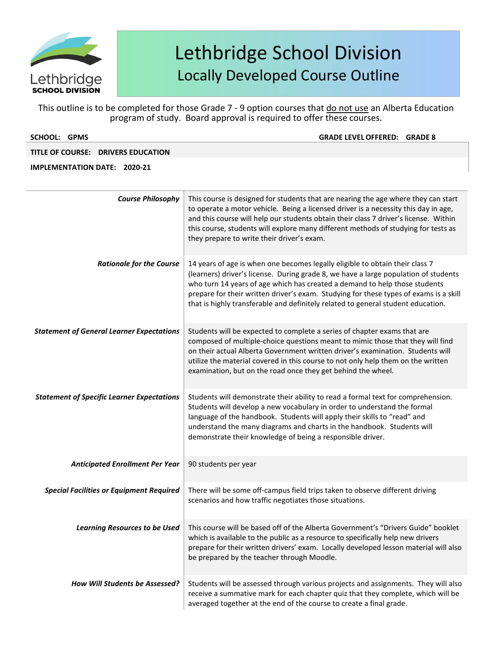

This outline is to be completed for those Grade 7 - 9 option courses that do not use an Alberta Education program of study. Board approval is required to offer these courses.

| <b>SCHOOL: GPMS</b>                               | <b>GRADE LEVEL OFFERED: GRADE 8</b>                                                                                                                                                                                                                                                                                                                                                                                            |
|---------------------------------------------------|--------------------------------------------------------------------------------------------------------------------------------------------------------------------------------------------------------------------------------------------------------------------------------------------------------------------------------------------------------------------------------------------------------------------------------|
| TITLE OF COURSE: DRIVERS EDUCATION                |                                                                                                                                                                                                                                                                                                                                                                                                                                |
| <b>IMPLEMENTATION DATE: 2020-21</b>               |                                                                                                                                                                                                                                                                                                                                                                                                                                |
|                                                   |                                                                                                                                                                                                                                                                                                                                                                                                                                |
| <b>Course Philosophy</b>                          | This course is designed for students that are nearing the age where they can start<br>to operate a motor vehicle. Being a licensed driver is a necessity this day in age,<br>and this course will help our students obtain their class 7 driver's license. Within<br>this course, students will explore many different methods of studying for tests as<br>they prepare to write their driver's exam.                          |
| <b>Rationale for the Course</b>                   | 14 years of age is when one becomes legally eligible to obtain their class 7<br>(learners) driver's license. During grade 8, we have a large population of students<br>who turn 14 years of age which has created a demand to help those students<br>prepare for their written driver's exam. Studying for these types of exams is a skill<br>that is highly transferable and definitely related to general student education. |
| <b>Statement of General Learner Expectations</b>  | Students will be expected to complete a series of chapter exams that are<br>composed of multiple-choice questions meant to mimic those that they will find<br>on their actual Alberta Government written driver's examination. Students will<br>utilize the material covered in this course to not only help them on the written<br>examination, but on the road once they get behind the wheel.                               |
| <b>Statement of Specific Learner Expectations</b> | Students will demonstrate their ability to read a formal text for comprehension.<br>Students will develop a new vocabulary in order to understand the formal<br>language of the handbook. Students will apply their skills to "read" and<br>understand the many diagrams and charts in the handbook. Students will<br>demonstrate their knowledge of being a responsible driver.                                               |
| <b>Anticipated Enrollment Per Year</b>            | 90 students per year                                                                                                                                                                                                                                                                                                                                                                                                           |
| <b>Special Facilities or Equipment Required</b>   | There will be some off-campus field trips taken to observe different driving<br>scenarios and how traffic negotiates those situations.                                                                                                                                                                                                                                                                                         |
| <b>Learning Resources to be Used</b>              | This course will be based off of the Alberta Government's "Drivers Guide" booklet<br>which is available to the public as a resource to specifically help new drivers<br>prepare for their written drivers' exam. Locally developed lesson material will also<br>be prepared by the teacher through Moodle.                                                                                                                     |

*How Will Students be Assessed?* Students will be assessed through various projects and assignments. They will also receive a summative mark for each chapter quiz that they complete, which will be averaged together at the end of the course to create a final grade.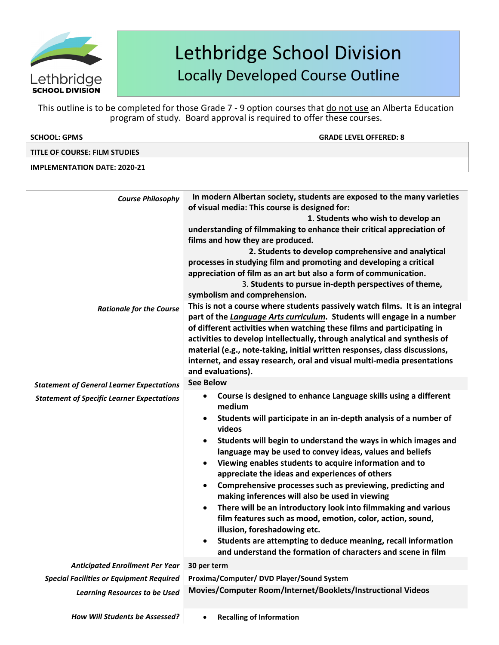

This outline is to be completed for those Grade 7 - 9 option courses that do not use an Alberta Education program of study. Board approval is required to offer these courses.

| <b>SCHOOL: GPMS</b><br><b>GRADE LEVEL OFFERED: 8</b> |  |
|------------------------------------------------------|--|

## **TITLE OF COURSE: FILM STUDIES**

| <b>Course Philosophy</b>                          | In modern Albertan society, students are exposed to the many varieties                  |  |
|---------------------------------------------------|-----------------------------------------------------------------------------------------|--|
|                                                   | of visual media: This course is designed for:                                           |  |
|                                                   | 1. Students who wish to develop an                                                      |  |
|                                                   | understanding of filmmaking to enhance their critical appreciation of                   |  |
|                                                   | films and how they are produced.<br>2. Students to develop comprehensive and analytical |  |
|                                                   |                                                                                         |  |
|                                                   | processes in studying film and promoting and developing a critical                      |  |
|                                                   | appreciation of film as an art but also a form of communication.                        |  |
|                                                   | 3. Students to pursue in-depth perspectives of theme,                                   |  |
|                                                   | symbolism and comprehension.                                                            |  |
| <b>Rationale for the Course</b>                   | This is not a course where students passively watch films. It is an integral            |  |
|                                                   | part of the Language Arts curriculum. Students will engage in a number                  |  |
|                                                   | of different activities when watching these films and participating in                  |  |
|                                                   | activities to develop intellectually, through analytical and synthesis of               |  |
|                                                   | material (e.g., note-taking, initial written responses, class discussions,              |  |
|                                                   | internet, and essay research, oral and visual multi-media presentations                 |  |
|                                                   | and evaluations).                                                                       |  |
| <b>Statement of General Learner Expectations</b>  | <b>See Below</b>                                                                        |  |
| <b>Statement of Specific Learner Expectations</b> | Course is designed to enhance Language skills using a different<br>$\bullet$            |  |
|                                                   | medium                                                                                  |  |
|                                                   | Students will participate in an in-depth analysis of a number of<br>$\bullet$           |  |
|                                                   | videos                                                                                  |  |
|                                                   | Students will begin to understand the ways in which images and<br>$\bullet$             |  |
|                                                   | language may be used to convey ideas, values and beliefs                                |  |
|                                                   | Viewing enables students to acquire information and to<br>$\bullet$                     |  |
|                                                   | appreciate the ideas and experiences of others                                          |  |
|                                                   | Comprehensive processes such as previewing, predicting and<br>$\bullet$                 |  |
|                                                   | making inferences will also be used in viewing                                          |  |
|                                                   | There will be an introductory look into filmmaking and various<br>$\bullet$             |  |
|                                                   | film features such as mood, emotion, color, action, sound,                              |  |
|                                                   | illusion, foreshadowing etc.                                                            |  |
|                                                   | Students are attempting to deduce meaning, recall information<br>$\bullet$              |  |
|                                                   | and understand the formation of characters and scene in film                            |  |
| <b>Anticipated Enrollment Per Year</b>            | 30 per term                                                                             |  |
| <b>Special Facilities or Equipment Required</b>   | Proxima/Computer/ DVD Player/Sound System                                               |  |
|                                                   | Movies/Computer Room/Internet/Booklets/Instructional Videos                             |  |
| <b>Learning Resources to be Used</b>              |                                                                                         |  |
|                                                   |                                                                                         |  |
| How Will Students be Assessed?                    | <b>Recalling of Information</b><br>$\bullet$                                            |  |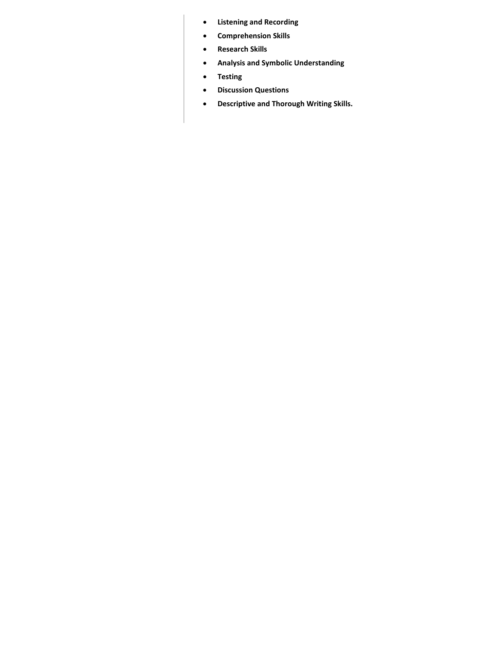- **Listening and Recording**
- **Comprehension Skills**
- **Research Skills**
- **Analysis and Symbolic Understanding**
- **Testing**
- **Discussion Questions**
- **Descriptive and Thorough Writing Skills.**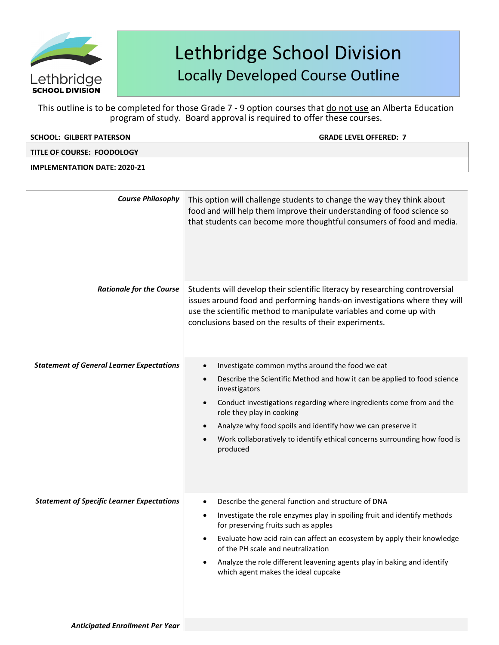

This outline is to be completed for those Grade 7 - 9 option courses that do not use an Alberta Education program of study. Board approval is required to offer these courses.

| <b>SCHOOL: GILBERT PATERSON</b>                   | <b>GRADE LEVEL OFFERED: 7</b>                                                                                                                                                                                                                                                                                                                                                                                          |
|---------------------------------------------------|------------------------------------------------------------------------------------------------------------------------------------------------------------------------------------------------------------------------------------------------------------------------------------------------------------------------------------------------------------------------------------------------------------------------|
| TITLE OF COURSE: FOODOLOGY                        |                                                                                                                                                                                                                                                                                                                                                                                                                        |
| <b>IMPLEMENTATION DATE: 2020-21</b>               |                                                                                                                                                                                                                                                                                                                                                                                                                        |
| <b>Course Philosophy</b>                          | This option will challenge students to change the way they think about<br>food and will help them improve their understanding of food science so<br>that students can become more thoughtful consumers of food and media.                                                                                                                                                                                              |
| <b>Rationale for the Course</b>                   | Students will develop their scientific literacy by researching controversial<br>issues around food and performing hands-on investigations where they will<br>use the scientific method to manipulate variables and come up with<br>conclusions based on the results of their experiments.                                                                                                                              |
| <b>Statement of General Learner Expectations</b>  | Investigate common myths around the food we eat<br>Describe the Scientific Method and how it can be applied to food science<br>investigators<br>Conduct investigations regarding where ingredients come from and the<br>role they play in cooking<br>Analyze why food spoils and identify how we can preserve it<br>Work collaboratively to identify ethical concerns surrounding how food is<br>produced              |
| <b>Statement of Specific Learner Expectations</b> | Describe the general function and structure of DNA<br>$\bullet$<br>Investigate the role enzymes play in spoiling fruit and identify methods<br>for preserving fruits such as apples<br>Evaluate how acid rain can affect an ecosystem by apply their knowledge<br>of the PH scale and neutralization<br>Analyze the role different leavening agents play in baking and identify<br>which agent makes the ideal cupcake |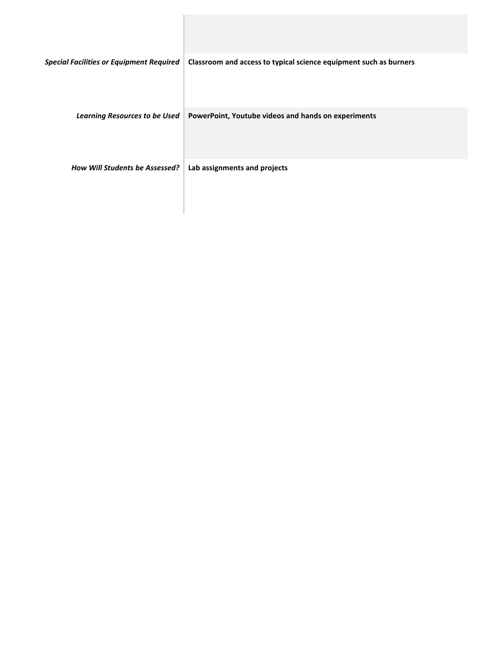| <b>Special Facilities or Equipment Required</b> | Classroom and access to typical science equipment such as burners |
|-------------------------------------------------|-------------------------------------------------------------------|
| <b>Learning Resources to be Used</b>            | PowerPoint, Youtube videos and hands on experiments               |
| <b>How Will Students be Assessed?</b>           | Lab assignments and projects                                      |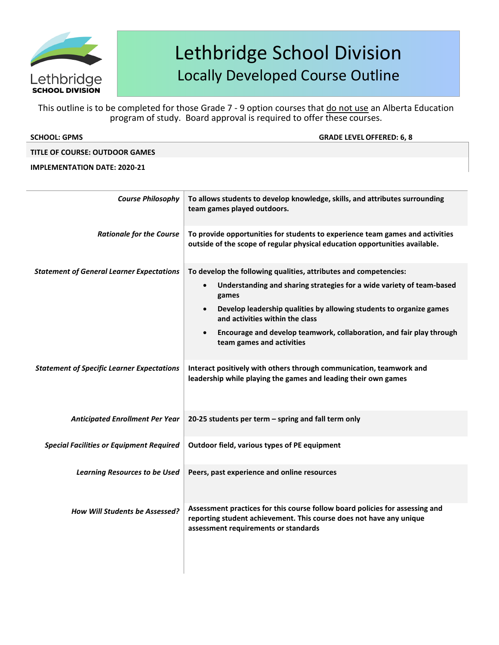

This outline is to be completed for those Grade 7 - 9 option courses that do not use an Alberta Education program of study. Board approval is required to offer these courses.

| <b>SCHOOL: GPMS</b> | <b>GRADE LEVEL OFFERED: 6, 8</b> |
|---------------------|----------------------------------|
|                     |                                  |

### **TITLE OF COURSE: OUTDOOR GAMES**

| <b>Course Philosophy</b>                          | To allows students to develop knowledge, skills, and attributes surrounding<br>team games played outdoors.                                                                                                                                                                                                                                                                                               |  |
|---------------------------------------------------|----------------------------------------------------------------------------------------------------------------------------------------------------------------------------------------------------------------------------------------------------------------------------------------------------------------------------------------------------------------------------------------------------------|--|
| <b>Rationale for the Course</b>                   | To provide opportunities for students to experience team games and activities<br>outside of the scope of regular physical education opportunities available.                                                                                                                                                                                                                                             |  |
| <b>Statement of General Learner Expectations</b>  | To develop the following qualities, attributes and competencies:<br>Understanding and sharing strategies for a wide variety of team-based<br>$\bullet$<br>games<br>Develop leadership qualities by allowing students to organize games<br>$\bullet$<br>and activities within the class<br>Encourage and develop teamwork, collaboration, and fair play through<br>$\bullet$<br>team games and activities |  |
| <b>Statement of Specific Learner Expectations</b> | Interact positively with others through communication, teamwork and<br>leadership while playing the games and leading their own games                                                                                                                                                                                                                                                                    |  |
| <b>Anticipated Enrollment Per Year</b>            | 20-25 students per term - spring and fall term only                                                                                                                                                                                                                                                                                                                                                      |  |
| <b>Special Facilities or Equipment Required</b>   | Outdoor field, various types of PE equipment                                                                                                                                                                                                                                                                                                                                                             |  |
| <b>Learning Resources to be Used</b>              | Peers, past experience and online resources                                                                                                                                                                                                                                                                                                                                                              |  |
| <b>How Will Students be Assessed?</b>             | Assessment practices for this course follow board policies for assessing and<br>reporting student achievement. This course does not have any unique<br>assessment requirements or standards                                                                                                                                                                                                              |  |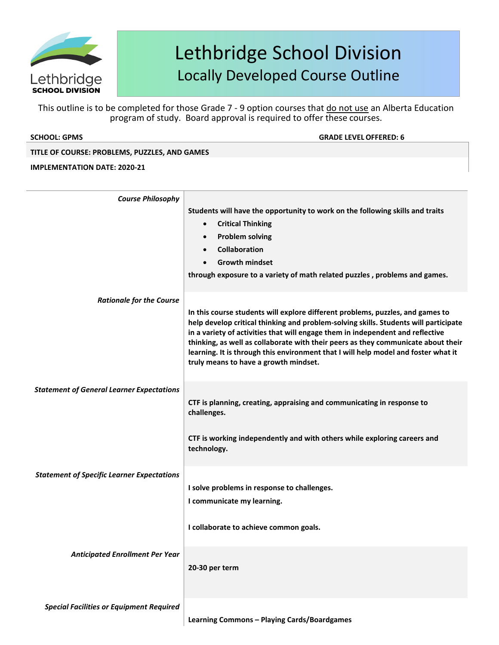

This outline is to be completed for those Grade 7 - 9 option courses that do not use an Alberta Education program of study. Board approval is required to offer these courses.

**SCHOOL: GPMS GRADE LEVELOFFERED: 6**

### **TITLE OF COURSE: PROBLEMS, PUZZLES, AND GAMES**

| <b>Course Philosophy</b>                          |                                                                                                                                                                                                                                                                                                                                                                                                                                                                              |
|---------------------------------------------------|------------------------------------------------------------------------------------------------------------------------------------------------------------------------------------------------------------------------------------------------------------------------------------------------------------------------------------------------------------------------------------------------------------------------------------------------------------------------------|
|                                                   | Students will have the opportunity to work on the following skills and traits<br><b>Critical Thinking</b><br>$\bullet$<br><b>Problem solving</b><br>$\bullet$<br>Collaboration<br>$\bullet$<br><b>Growth mindset</b><br>through exposure to a variety of math related puzzles, problems and games.                                                                                                                                                                           |
| <b>Rationale for the Course</b>                   |                                                                                                                                                                                                                                                                                                                                                                                                                                                                              |
|                                                   | In this course students will explore different problems, puzzles, and games to<br>help develop critical thinking and problem-solving skills. Students will participate<br>in a variety of activities that will engage them in independent and reflective<br>thinking, as well as collaborate with their peers as they communicate about their<br>learning. It is through this environment that I will help model and foster what it<br>truly means to have a growth mindset. |
| <b>Statement of General Learner Expectations</b>  | CTF is planning, creating, appraising and communicating in response to<br>challenges.                                                                                                                                                                                                                                                                                                                                                                                        |
| <b>Statement of Specific Learner Expectations</b> | CTF is working independently and with others while exploring careers and<br>technology.                                                                                                                                                                                                                                                                                                                                                                                      |
|                                                   | I solve problems in response to challenges.<br>I communicate my learning.                                                                                                                                                                                                                                                                                                                                                                                                    |
|                                                   | I collaborate to achieve common goals.                                                                                                                                                                                                                                                                                                                                                                                                                                       |
| <b>Anticipated Enrollment Per Year</b>            | 20-30 per term                                                                                                                                                                                                                                                                                                                                                                                                                                                               |
| Special Facilities or Equipment Required          |                                                                                                                                                                                                                                                                                                                                                                                                                                                                              |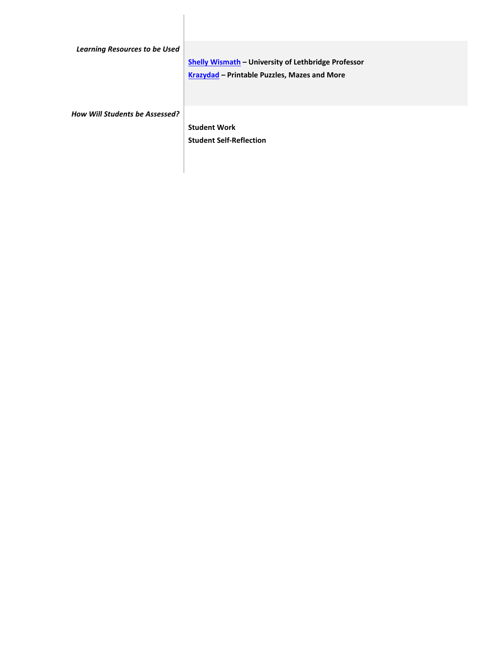| <b>Learning Resources to be Used</b>  |                                                            |
|---------------------------------------|------------------------------------------------------------|
|                                       | <b>Shelly Wismath - University of Lethbridge Professor</b> |
|                                       | Krazydad - Printable Puzzles, Mazes and More               |
|                                       |                                                            |
| <b>How Will Students be Assessed?</b> |                                                            |
|                                       | <b>Student Work</b>                                        |
|                                       | <b>Student Self-Reflection</b>                             |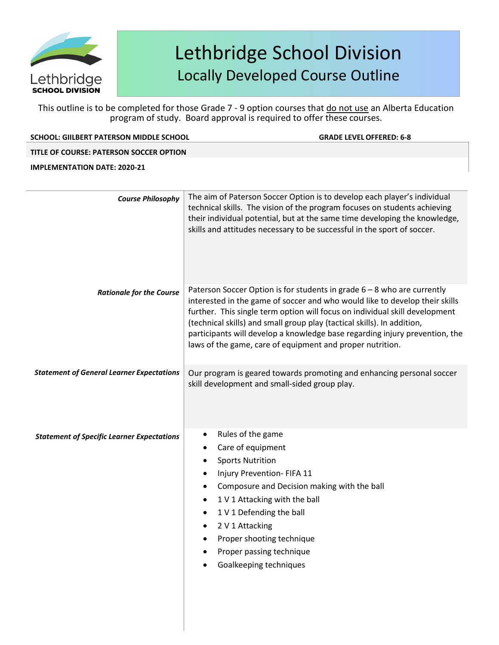

This outline is to be completed for those Grade 7 - 9 option courses that do not use an Alberta Education program of study. Board approval is required to offer these courses.

### **SCHOOL: GIILBERT PATERSON MIDDLE SCHOOL GRADE LEVELOFFERED: 6-8**

### **TITLE OF COURSE: PATERSON SOCCER OPTION**

| <b>Course Philosophy</b>                          | The aim of Paterson Soccer Option is to develop each player's individual<br>technical skills. The vision of the program focuses on students achieving<br>their individual potential, but at the same time developing the knowledge,<br>skills and attitudes necessary to be successful in the sport of soccer.                                                                                                                                               |
|---------------------------------------------------|--------------------------------------------------------------------------------------------------------------------------------------------------------------------------------------------------------------------------------------------------------------------------------------------------------------------------------------------------------------------------------------------------------------------------------------------------------------|
| <b>Rationale for the Course</b>                   | Paterson Soccer Option is for students in grade 6 - 8 who are currently<br>interested in the game of soccer and who would like to develop their skills<br>further. This single term option will focus on individual skill development<br>(technical skills) and small group play (tactical skills). In addition,<br>participants will develop a knowledge base regarding injury prevention, the<br>laws of the game, care of equipment and proper nutrition. |
| <b>Statement of General Learner Expectations</b>  | Our program is geared towards promoting and enhancing personal soccer<br>skill development and small-sided group play.                                                                                                                                                                                                                                                                                                                                       |
| <b>Statement of Specific Learner Expectations</b> | Rules of the game<br>Care of equipment<br><b>Sports Nutrition</b><br>Injury Prevention- FIFA 11<br>$\bullet$<br>Composure and Decision making with the ball<br>$\bullet$<br>1 V 1 Attacking with the ball<br>1 V 1 Defending the ball<br>٠<br>2 V 1 Attacking<br>$\bullet$<br>Proper shooting technique<br>Proper passing technique<br>Goalkeeping techniques                                                                                                |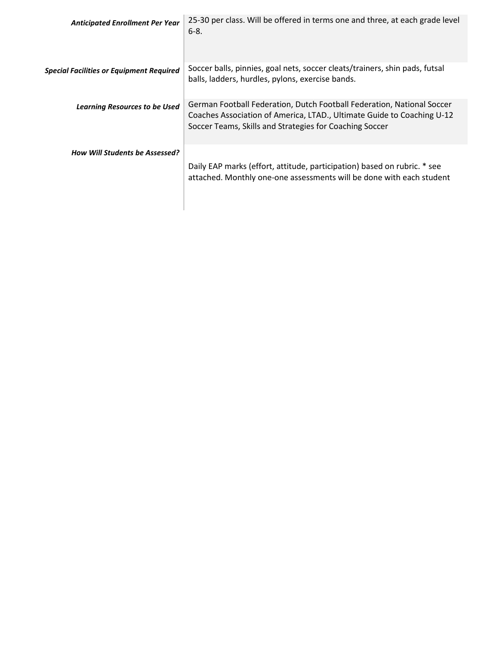| <b>Anticipated Enrollment Per Year</b>          | 25-30 per class. Will be offered in terms one and three, at each grade level<br>$6-8.$                                                                                                                      |
|-------------------------------------------------|-------------------------------------------------------------------------------------------------------------------------------------------------------------------------------------------------------------|
| <b>Special Facilities or Equipment Required</b> | Soccer balls, pinnies, goal nets, soccer cleats/trainers, shin pads, futsal<br>balls, ladders, hurdles, pylons, exercise bands.                                                                             |
| <b>Learning Resources to be Used</b>            | German Football Federation, Dutch Football Federation, National Soccer<br>Coaches Association of America, LTAD., Ultimate Guide to Coaching U-12<br>Soccer Teams, Skills and Strategies for Coaching Soccer |
| <b>How Will Students be Assessed?</b>           | Daily EAP marks (effort, attitude, participation) based on rubric. * see<br>attached. Monthly one-one assessments will be done with each student                                                            |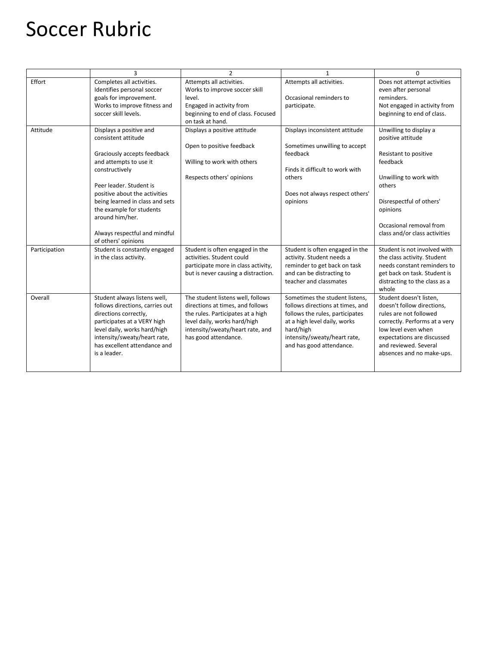# Soccer Rubric

|               | 3                                                                                                                                                                                                                                                                                                                               | $\overline{2}$                                                                                                                                                                                         | $\mathbf{1}$                                                                                                                                                                                                   | $\Omega$                                                                                                                                                                                                                    |
|---------------|---------------------------------------------------------------------------------------------------------------------------------------------------------------------------------------------------------------------------------------------------------------------------------------------------------------------------------|--------------------------------------------------------------------------------------------------------------------------------------------------------------------------------------------------------|----------------------------------------------------------------------------------------------------------------------------------------------------------------------------------------------------------------|-----------------------------------------------------------------------------------------------------------------------------------------------------------------------------------------------------------------------------|
| Effort        | Completes all activities.<br>Identifies personal soccer<br>goals for improvement.<br>Works to improve fitness and<br>soccer skill levels.                                                                                                                                                                                       | Attempts all activities.<br>Works to improve soccer skill<br>level.<br>Engaged in activity from<br>beginning to end of class. Focused<br>on task at hand.                                              | Attempts all activities.<br>Occasional reminders to<br>participate.                                                                                                                                            | Does not attempt activities<br>even after personal<br>reminders.<br>Not engaged in activity from<br>beginning to end of class.                                                                                              |
| Attitude      | Displays a positive and<br>consistent attitude<br>Graciously accepts feedback<br>and attempts to use it<br>constructively<br>Peer leader. Student is<br>positive about the activities<br>being learned in class and sets<br>the example for students<br>around him/her.<br>Always respectful and mindful<br>of others' opinions | Displays a positive attitude<br>Open to positive feedback<br>Willing to work with others<br>Respects others' opinions                                                                                  | Displays inconsistent attitude<br>Sometimes unwilling to accept<br>feedback<br>Finds it difficult to work with<br>others<br>Does not always respect others'<br>opinions                                        | Unwilling to display a<br>positive attitude<br>Resistant to positive<br>feedback<br>Unwilling to work with<br>others<br>Disrespectful of others'<br>opinions<br>Occasional removal from<br>class and/or class activities    |
| Participation | Student is constantly engaged<br>in the class activity.                                                                                                                                                                                                                                                                         | Student is often engaged in the<br>activities. Student could<br>participate more in class activity,<br>but is never causing a distraction.                                                             | Student is often engaged in the<br>activity. Student needs a<br>reminder to get back on task<br>and can be distracting to<br>teacher and classmates                                                            | Student is not involved with<br>the class activity. Student<br>needs constant reminders to<br>get back on task. Student is<br>distracting to the class as a<br>whole                                                        |
| Overall       | Student always listens well,<br>follows directions, carries out<br>directions correctly,<br>participates at a VERY high<br>level daily, works hard/high<br>intensity/sweaty/heart rate,<br>has excellent attendance and<br>is a leader.                                                                                         | The student listens well, follows<br>directions at times, and follows<br>the rules. Participates at a high<br>level daily, works hard/high<br>intensity/sweaty/heart rate, and<br>has good attendance. | Sometimes the student listens,<br>follows directions at times, and<br>follows the rules, participates<br>at a high level daily, works<br>hard/high<br>intensity/sweaty/heart rate,<br>and has good attendance. | Student doesn't listen,<br>doesn't follow directions,<br>rules are not followed<br>correctly. Performs at a very<br>low level even when<br>expectations are discussed<br>and reviewed. Several<br>absences and no make-ups. |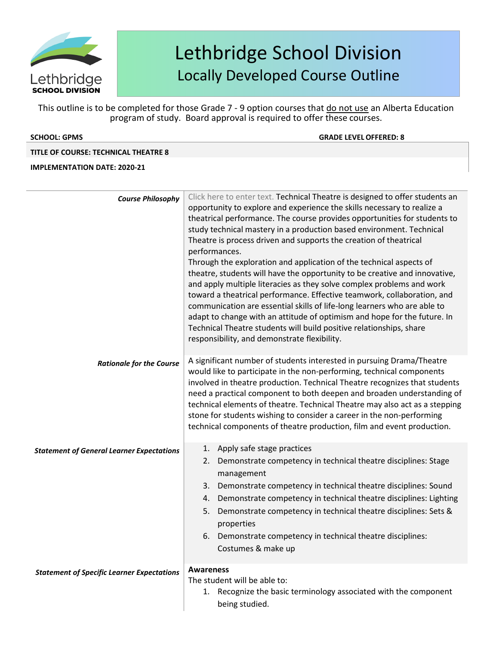

This outline is to be completed for those Grade 7 - 9 option courses that do not use an Alberta Education program of study. Board approval is required to offer these courses.

| <b>SCHOOL: GPMS</b> |  |  |
|---------------------|--|--|
|                     |  |  |

**SCHOOL: GPMS GRADE LEVELOFFERED: 8**

### **TITLE OF COURSE: TECHNICAL THEATRE 8**

| <b>Course Philosophy</b>                          | Click here to enter text. Technical Theatre is designed to offer students an                                                                     |
|---------------------------------------------------|--------------------------------------------------------------------------------------------------------------------------------------------------|
|                                                   | opportunity to explore and experience the skills necessary to realize a                                                                          |
|                                                   | theatrical performance. The course provides opportunities for students to                                                                        |
|                                                   | study technical mastery in a production based environment. Technical                                                                             |
|                                                   | Theatre is process driven and supports the creation of theatrical                                                                                |
|                                                   | performances.                                                                                                                                    |
|                                                   | Through the exploration and application of the technical aspects of                                                                              |
|                                                   | theatre, students will have the opportunity to be creative and innovative,                                                                       |
|                                                   | and apply multiple literacies as they solve complex problems and work<br>toward a theatrical performance. Effective teamwork, collaboration, and |
|                                                   | communication are essential skills of life-long learners who are able to                                                                         |
|                                                   | adapt to change with an attitude of optimism and hope for the future. In                                                                         |
|                                                   | Technical Theatre students will build positive relationships, share                                                                              |
|                                                   | responsibility, and demonstrate flexibility.                                                                                                     |
|                                                   |                                                                                                                                                  |
| <b>Rationale for the Course</b>                   | A significant number of students interested in pursuing Drama/Theatre                                                                            |
|                                                   | would like to participate in the non-performing, technical components                                                                            |
|                                                   | involved in theatre production. Technical Theatre recognizes that students                                                                       |
|                                                   | need a practical component to both deepen and broaden understanding of                                                                           |
|                                                   | technical elements of theatre. Technical Theatre may also act as a stepping                                                                      |
|                                                   | stone for students wishing to consider a career in the non-performing                                                                            |
|                                                   | technical components of theatre production, film and event production.                                                                           |
| <b>Statement of General Learner Expectations</b>  | 1. Apply safe stage practices                                                                                                                    |
|                                                   | 2. Demonstrate competency in technical theatre disciplines: Stage                                                                                |
|                                                   | management                                                                                                                                       |
|                                                   | Demonstrate competency in technical theatre disciplines: Sound<br>3.                                                                             |
|                                                   | 4. Demonstrate competency in technical theatre disciplines: Lighting                                                                             |
|                                                   | Demonstrate competency in technical theatre disciplines: Sets &<br>5.                                                                            |
|                                                   | properties                                                                                                                                       |
|                                                   | 6. Demonstrate competency in technical theatre disciplines:                                                                                      |
|                                                   | Costumes & make up                                                                                                                               |
|                                                   |                                                                                                                                                  |
| <b>Statement of Specific Learner Expectations</b> | <b>Awareness</b>                                                                                                                                 |
|                                                   | The student will be able to:                                                                                                                     |
|                                                   | 1. Recognize the basic terminology associated with the component                                                                                 |
|                                                   | being studied.                                                                                                                                   |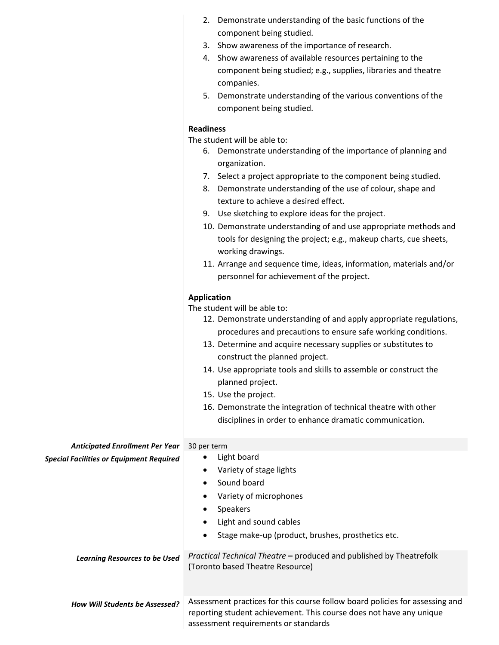|                                                 | 2. Demonstrate understanding of the basic functions of the                   |
|-------------------------------------------------|------------------------------------------------------------------------------|
|                                                 | component being studied.                                                     |
|                                                 | 3. Show awareness of the importance of research.                             |
|                                                 | 4. Show awareness of available resources pertaining to the                   |
|                                                 | component being studied; e.g., supplies, libraries and theatre               |
|                                                 | companies.                                                                   |
|                                                 | 5. Demonstrate understanding of the various conventions of the               |
|                                                 | component being studied.                                                     |
|                                                 | <b>Readiness</b>                                                             |
|                                                 | The student will be able to:                                                 |
|                                                 | 6. Demonstrate understanding of the importance of planning and               |
|                                                 | organization.                                                                |
|                                                 | 7. Select a project appropriate to the component being studied.              |
|                                                 | 8. Demonstrate understanding of the use of colour, shape and                 |
|                                                 | texture to achieve a desired effect.                                         |
|                                                 |                                                                              |
|                                                 | 9. Use sketching to explore ideas for the project.                           |
|                                                 | 10. Demonstrate understanding of and use appropriate methods and             |
|                                                 | tools for designing the project; e.g., makeup charts, cue sheets,            |
|                                                 | working drawings.                                                            |
|                                                 | 11. Arrange and sequence time, ideas, information, materials and/or          |
|                                                 | personnel for achievement of the project.                                    |
|                                                 | <b>Application</b>                                                           |
|                                                 | The student will be able to:                                                 |
|                                                 | 12. Demonstrate understanding of and apply appropriate regulations,          |
|                                                 | procedures and precautions to ensure safe working conditions.                |
|                                                 | 13. Determine and acquire necessary supplies or substitutes to               |
|                                                 | construct the planned project.                                               |
|                                                 | 14. Use appropriate tools and skills to assemble or construct the            |
|                                                 | planned project.                                                             |
|                                                 | 15. Use the project.                                                         |
|                                                 | 16. Demonstrate the integration of technical theatre with other              |
|                                                 | disciplines in order to enhance dramatic communication.                      |
|                                                 |                                                                              |
| <b>Anticipated Enrollment Per Year</b>          | 30 per term                                                                  |
| <b>Special Facilities or Equipment Required</b> | Light board<br>٠                                                             |
|                                                 | Variety of stage lights<br>٠                                                 |
|                                                 | Sound board                                                                  |
|                                                 | Variety of microphones                                                       |
|                                                 | Speakers<br>٠                                                                |
|                                                 | Light and sound cables<br>٠                                                  |
|                                                 | Stage make-up (product, brushes, prosthetics etc.<br>$\bullet$               |
|                                                 |                                                                              |
| <b>Learning Resources to be Used</b>            | Practical Technical Theatre - produced and published by Theatrefolk          |
|                                                 | (Toronto based Theatre Resource)                                             |
|                                                 |                                                                              |
|                                                 | Assessment practices for this course follow board policies for assessing and |
| How Will Students be Assessed?                  |                                                                              |

reporting student achievement. This course does not have any unique

assessment requirements or standards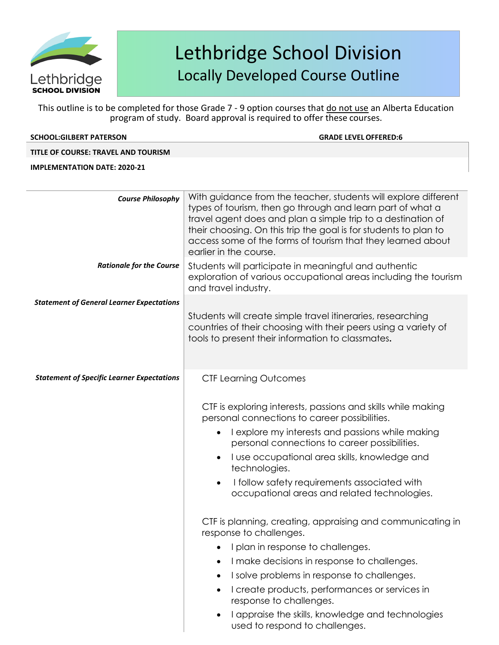

This outline is to be completed for those Grade 7 - 9 option courses that do not use an Alberta Education program of study. Board approval is required to offer these courses.

| <b>SCHOOL:GILBERT PATERSON</b>                   | <b>GRADE LEVEL OFFERED:6</b>                                                                                                                                                                                                                                                                                                                               |
|--------------------------------------------------|------------------------------------------------------------------------------------------------------------------------------------------------------------------------------------------------------------------------------------------------------------------------------------------------------------------------------------------------------------|
| TITLE OF COURSE: TRAVEL AND TOURISM              |                                                                                                                                                                                                                                                                                                                                                            |
| <b>IMPLEMENTATION DATE: 2020-21</b>              |                                                                                                                                                                                                                                                                                                                                                            |
|                                                  |                                                                                                                                                                                                                                                                                                                                                            |
| <b>Course Philosophy</b>                         | With guidance from the teacher, students will explore different<br>types of tourism, then go through and learn part of what a<br>travel agent does and plan a simple trip to a destination of<br>their choosing. On this trip the goal is for students to plan to<br>access some of the forms of tourism that they learned about<br>earlier in the course. |
| <b>Rationale for the Course</b>                  | Students will participate in meaningful and authentic<br>exploration of various occupational areas including the tourism<br>and travel industry.                                                                                                                                                                                                           |
| <b>Statement of General Learner Expectations</b> | All situations films are the structured in the second transformation in the                                                                                                                                                                                                                                                                                |

|                                                   | Students will create simple travel itineraries, researching<br>countries of their choosing with their peers using a variety of<br>tools to present their information to classmates.                                                                                                                                                                                                  |
|---------------------------------------------------|--------------------------------------------------------------------------------------------------------------------------------------------------------------------------------------------------------------------------------------------------------------------------------------------------------------------------------------------------------------------------------------|
| <b>Statement of Specific Learner Expectations</b> | <b>CTF Learning Outcomes</b>                                                                                                                                                                                                                                                                                                                                                         |
|                                                   | CTF is exploring interests, passions and skills while making<br>personal connections to career possibilities.<br>I explore my interests and passions while making<br>personal connections to career possibilities.<br>I use occupational area skills, knowledge and<br>technologies.<br>I follow safety requirements associated with<br>occupational areas and related technologies. |
|                                                   | CTF is planning, creating, appraising and communicating in<br>response to challenges.<br>I plan in response to challenges.<br>I make decisions in response to challenges.<br>$\bullet$<br>I solve problems in response to challenges.<br>I create products, performances or services in<br>$\bullet$<br>response to challenges.                                                      |

• I appraise the skills, knowledge and technologies used to respond to challenges.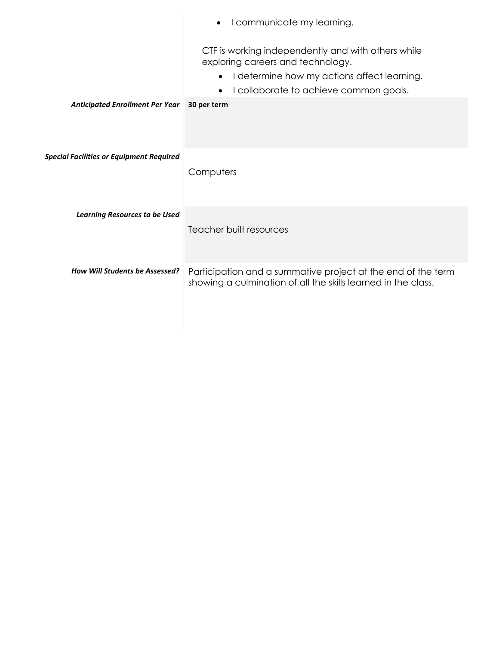|                                                 | I communicate my learning.<br>$\bullet$                                                                                                                                          |
|-------------------------------------------------|----------------------------------------------------------------------------------------------------------------------------------------------------------------------------------|
|                                                 | CTF is working independently and with others while<br>exploring careers and technology.<br>I determine how my actions affect learning.<br>I collaborate to achieve common goals. |
| <b>Anticipated Enrollment Per Year</b>          | 30 per term                                                                                                                                                                      |
|                                                 |                                                                                                                                                                                  |
| <b>Special Facilities or Equipment Required</b> |                                                                                                                                                                                  |
|                                                 | Computers                                                                                                                                                                        |
|                                                 |                                                                                                                                                                                  |
| <b>Learning Resources to be Used</b>            | Teacher built resources                                                                                                                                                          |
|                                                 |                                                                                                                                                                                  |
| <b>How Will Students be Assessed?</b>           | Participation and a summative project at the end of the term                                                                                                                     |
|                                                 | showing a culmination of all the skills learned in the class.                                                                                                                    |
|                                                 |                                                                                                                                                                                  |
|                                                 |                                                                                                                                                                                  |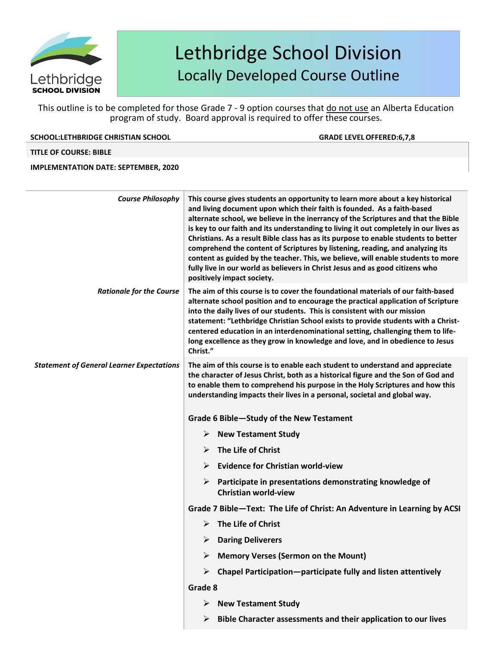

This outline is to be completed for those Grade 7 - 9 option courses that do not use an Alberta Education program of study. Board approval is required to offer these courses.

| <b>SCHOOL:LETHBRIDGE CHRISTIAN SCHOOL</b> |  |
|-------------------------------------------|--|
|                                           |  |

**SCHOOL:LETHBRIDGE CHRISTIAN SCHOOL GRADE LEVELOFFERED:6,7,8**

#### **TITLE OF COURSE: BIBLE**

| <b>Course Philosophy</b>                         | This course gives students an opportunity to learn more about a key historical<br>and living document upon which their faith is founded. As a faith-based<br>alternate school, we believe in the inerrancy of the Scriptures and that the Bible<br>is key to our faith and its understanding to living it out completely in our lives as<br>Christians. As a result Bible class has as its purpose to enable students to better<br>comprehend the content of Scriptures by listening, reading, and analyzing its<br>content as guided by the teacher. This, we believe, will enable students to more<br>fully live in our world as believers in Christ Jesus and as good citizens who<br>positively impact society. |
|--------------------------------------------------|---------------------------------------------------------------------------------------------------------------------------------------------------------------------------------------------------------------------------------------------------------------------------------------------------------------------------------------------------------------------------------------------------------------------------------------------------------------------------------------------------------------------------------------------------------------------------------------------------------------------------------------------------------------------------------------------------------------------|
| <b>Rationale for the Course</b>                  | The aim of this course is to cover the foundational materials of our faith-based<br>alternate school position and to encourage the practical application of Scripture<br>into the daily lives of our students. This is consistent with our mission<br>statement: "Lethbridge Christian School exists to provide students with a Christ-<br>centered education in an interdenominational setting, challenging them to life-<br>long excellence as they grow in knowledge and love, and in obedience to Jesus<br>Christ."                                                                                                                                                                                             |
| <b>Statement of General Learner Expectations</b> | The aim of this course is to enable each student to understand and appreciate<br>the character of Jesus Christ, both as a historical figure and the Son of God and<br>to enable them to comprehend his purpose in the Holy Scriptures and how this<br>understanding impacts their lives in a personal, societal and global way.                                                                                                                                                                                                                                                                                                                                                                                     |
|                                                  | Grade 6 Bible-Study of the New Testament                                                                                                                                                                                                                                                                                                                                                                                                                                                                                                                                                                                                                                                                            |
|                                                  | <b>New Testament Study</b><br>➤                                                                                                                                                                                                                                                                                                                                                                                                                                                                                                                                                                                                                                                                                     |
|                                                  | The Life of Christ                                                                                                                                                                                                                                                                                                                                                                                                                                                                                                                                                                                                                                                                                                  |
|                                                  | <b>Evidence for Christian world-view</b>                                                                                                                                                                                                                                                                                                                                                                                                                                                                                                                                                                                                                                                                            |
|                                                  | $\triangleright$<br>Participate in presentations demonstrating knowledge of<br><b>Christian world-view</b>                                                                                                                                                                                                                                                                                                                                                                                                                                                                                                                                                                                                          |
|                                                  | Grade 7 Bible-Text: The Life of Christ: An Adventure in Learning by ACSI                                                                                                                                                                                                                                                                                                                                                                                                                                                                                                                                                                                                                                            |
|                                                  | The Life of Christ<br>➤                                                                                                                                                                                                                                                                                                                                                                                                                                                                                                                                                                                                                                                                                             |
|                                                  | $\triangleright$ Daring Deliverers                                                                                                                                                                                                                                                                                                                                                                                                                                                                                                                                                                                                                                                                                  |
|                                                  | $\triangleright$ Memory Verses (Sermon on the Mount)                                                                                                                                                                                                                                                                                                                                                                                                                                                                                                                                                                                                                                                                |
|                                                  | Chapel Participation-participate fully and listen attentively<br>➤                                                                                                                                                                                                                                                                                                                                                                                                                                                                                                                                                                                                                                                  |
|                                                  | Grade 8                                                                                                                                                                                                                                                                                                                                                                                                                                                                                                                                                                                                                                                                                                             |
|                                                  | <b>New Testament Study</b><br>➤                                                                                                                                                                                                                                                                                                                                                                                                                                                                                                                                                                                                                                                                                     |
|                                                  | Bible Character assessments and their application to our lives<br>➤                                                                                                                                                                                                                                                                                                                                                                                                                                                                                                                                                                                                                                                 |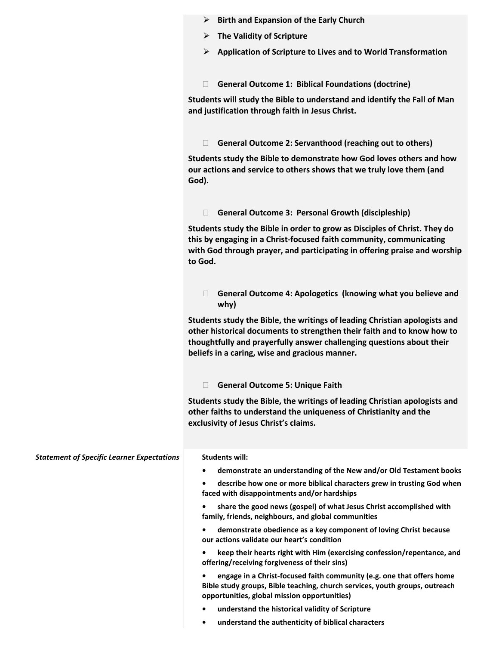|                                                   | $\triangleright$ Birth and Expansion of the Early Church                                                                                                                                                                                                                         |
|---------------------------------------------------|----------------------------------------------------------------------------------------------------------------------------------------------------------------------------------------------------------------------------------------------------------------------------------|
|                                                   | $\triangleright$ The Validity of Scripture                                                                                                                                                                                                                                       |
|                                                   | $\triangleright$ Application of Scripture to Lives and to World Transformation                                                                                                                                                                                                   |
|                                                   | <b>General Outcome 1: Biblical Foundations (doctrine)</b><br>$\Box$                                                                                                                                                                                                              |
|                                                   | Students will study the Bible to understand and identify the Fall of Man<br>and justification through faith in Jesus Christ.                                                                                                                                                     |
|                                                   | <b>General Outcome 2: Servanthood (reaching out to others)</b><br>$\Box$                                                                                                                                                                                                         |
|                                                   | Students study the Bible to demonstrate how God loves others and how<br>our actions and service to others shows that we truly love them (and<br>God).                                                                                                                            |
|                                                   | <b>General Outcome 3: Personal Growth (discipleship)</b><br>$\Box$                                                                                                                                                                                                               |
|                                                   | Students study the Bible in order to grow as Disciples of Christ. They do<br>this by engaging in a Christ-focused faith community, communicating<br>with God through prayer, and participating in offering praise and worship<br>to God.                                         |
|                                                   | General Outcome 4: Apologetics (knowing what you believe and<br>$\Box$<br>why)                                                                                                                                                                                                   |
|                                                   | Students study the Bible, the writings of leading Christian apologists and<br>other historical documents to strengthen their faith and to know how to<br>thoughtfully and prayerfully answer challenging questions about their<br>beliefs in a caring, wise and gracious manner. |
|                                                   | <b>General Outcome 5: Unique Faith</b><br>$\Box$                                                                                                                                                                                                                                 |
|                                                   | Students study the Bible, the writings of leading Christian apologists and<br>other faiths to understand the uniqueness of Christianity and the<br>exclusivity of Jesus Christ's claims.                                                                                         |
| <b>Statement of Specific Learner Expectations</b> | <b>Students will:</b>                                                                                                                                                                                                                                                            |
|                                                   | demonstrate an understanding of the New and/or Old Testament books<br>$\bullet$                                                                                                                                                                                                  |
|                                                   | describe how one or more biblical characters grew in trusting God when<br>٠<br>faced with disappointments and/or hardships                                                                                                                                                       |
|                                                   | share the good news (gospel) of what Jesus Christ accomplished with<br>family, friends, neighbours, and global communities                                                                                                                                                       |
|                                                   | demonstrate obedience as a key component of loving Christ because<br>our actions validate our heart's condition                                                                                                                                                                  |
|                                                   | keep their hearts right with Him (exercising confession/repentance, and<br>٠<br>offering/receiving forgiveness of their sins)                                                                                                                                                    |
|                                                   | engage in a Christ-focused faith community (e.g. one that offers home<br>Bible study groups, Bible teaching, church services, youth groups, outreach<br>opportunities, global mission opportunities)                                                                             |
|                                                   | understand the historical validity of Scripture                                                                                                                                                                                                                                  |
|                                                   | understand the authenticity of biblical characters<br>٠                                                                                                                                                                                                                          |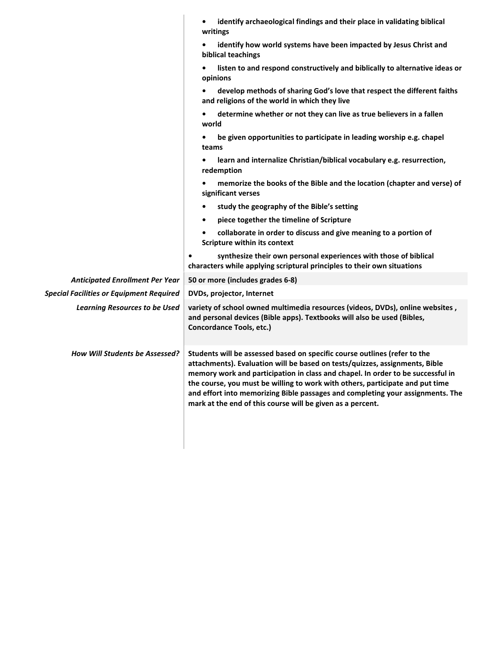|                                                 | identify archaeological findings and their place in validating biblical<br>writings                                                                                                                                                                                                                                                                                                                                                                                          |
|-------------------------------------------------|------------------------------------------------------------------------------------------------------------------------------------------------------------------------------------------------------------------------------------------------------------------------------------------------------------------------------------------------------------------------------------------------------------------------------------------------------------------------------|
|                                                 | identify how world systems have been impacted by Jesus Christ and<br>biblical teachings                                                                                                                                                                                                                                                                                                                                                                                      |
|                                                 | listen to and respond constructively and biblically to alternative ideas or<br>opinions                                                                                                                                                                                                                                                                                                                                                                                      |
|                                                 | develop methods of sharing God's love that respect the different faiths<br>and religions of the world in which they live                                                                                                                                                                                                                                                                                                                                                     |
|                                                 | determine whether or not they can live as true believers in a fallen<br>world                                                                                                                                                                                                                                                                                                                                                                                                |
|                                                 | be given opportunities to participate in leading worship e.g. chapel<br>teams                                                                                                                                                                                                                                                                                                                                                                                                |
|                                                 | learn and internalize Christian/biblical vocabulary e.g. resurrection,<br>redemption                                                                                                                                                                                                                                                                                                                                                                                         |
|                                                 | memorize the books of the Bible and the location (chapter and verse) of<br>significant verses                                                                                                                                                                                                                                                                                                                                                                                |
|                                                 | study the geography of the Bible's setting                                                                                                                                                                                                                                                                                                                                                                                                                                   |
|                                                 | piece together the timeline of Scripture                                                                                                                                                                                                                                                                                                                                                                                                                                     |
|                                                 | collaborate in order to discuss and give meaning to a portion of<br>Scripture within its context                                                                                                                                                                                                                                                                                                                                                                             |
|                                                 | synthesize their own personal experiences with those of biblical<br>$\bullet$<br>characters while applying scriptural principles to their own situations                                                                                                                                                                                                                                                                                                                     |
| <b>Anticipated Enrollment Per Year</b>          | 50 or more (includes grades 6-8)                                                                                                                                                                                                                                                                                                                                                                                                                                             |
| <b>Special Facilities or Equipment Required</b> | DVDs, projector, Internet                                                                                                                                                                                                                                                                                                                                                                                                                                                    |
| <b>Learning Resources to be Used</b>            | variety of school owned multimedia resources (videos, DVDs), online websites,<br>and personal devices (Bible apps). Textbooks will also be used (Bibles,<br>Concordance Tools, etc.)                                                                                                                                                                                                                                                                                         |
| <b>How Will Students be Assessed?</b>           | Students will be assessed based on specific course outlines (refer to the<br>attachments). Evaluation will be based on tests/quizzes, assignments, Bible<br>memory work and participation in class and chapel. In order to be successful in<br>the course, you must be willing to work with others, participate and put time<br>and effort into memorizing Bible passages and completing your assignments. The<br>mark at the end of this course will be given as a percent. |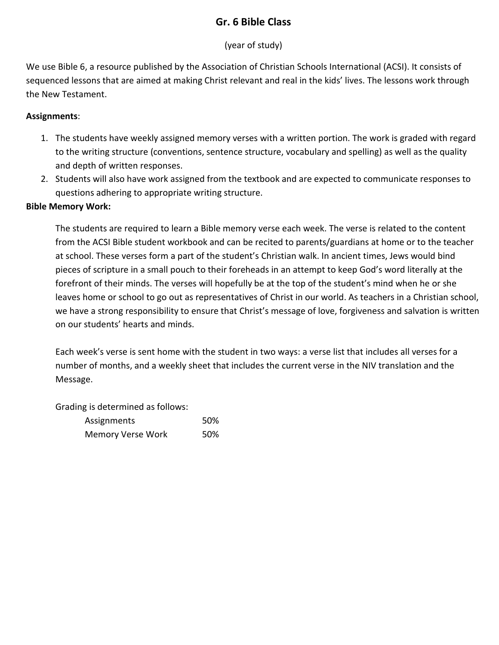## **Gr. 6 Bible Class**

## (year of study)

We use Bible 6, a resource published by the Association of Christian Schools International (ACSI). It consists of sequenced lessons that are aimed at making Christ relevant and real in the kids' lives. The lessons work through the New Testament.

### **Assignments**:

- 1. The students have weekly assigned memory verses with a written portion. The work is graded with regard to the writing structure (conventions, sentence structure, vocabulary and spelling) as well as the quality and depth of written responses.
- 2. Students will also have work assigned from the textbook and are expected to communicate responses to questions adhering to appropriate writing structure.

### **Bible Memory Work:**

The students are required to learn a Bible memory verse each week. The verse is related to the content from the ACSI Bible student workbook and can be recited to parents/guardians at home or to the teacher at school. These verses form a part of the student's Christian walk. In ancient times, Jews would bind pieces of scripture in a small pouch to their foreheads in an attempt to keep God's word literally at the forefront of their minds. The verses will hopefully be at the top of the student's mind when he or she leaves home or school to go out as representatives of Christ in our world. As teachers in a Christian school, we have a strong responsibility to ensure that Christ's message of love, forgiveness and salvation is written on our students' hearts and minds.

Each week's verse is sent home with the student in two ways: a verse list that includes all verses for a number of months, and a weekly sheet that includes the current verse in the NIV translation and the Message.

Grading is determined as follows:

| Assignments              | 50% |
|--------------------------|-----|
| <b>Memory Verse Work</b> | 50% |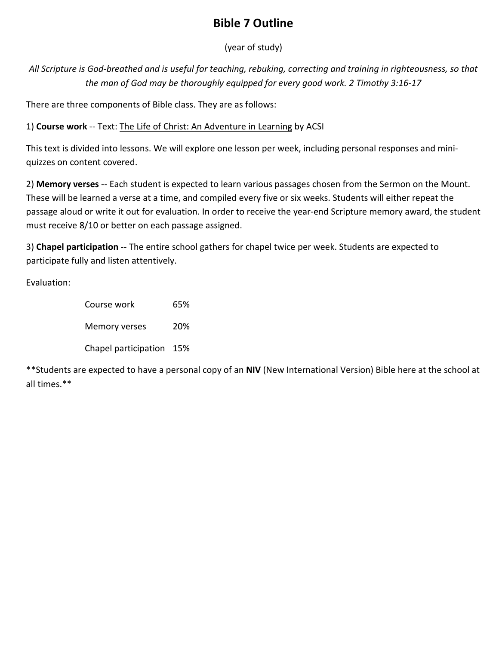# **Bible 7 Outline**

(year of study)

*All Scripture is God-breathed and is useful for teaching, rebuking, correcting and training in righteousness, so that the man of God may be thoroughly equipped for every good work. 2 Timothy 3:16-17*

There are three components of Bible class. They are as follows:

1) **Course work** -- Text: The Life of Christ: An Adventure in Learning by ACSI

This text is divided into lessons. We will explore one lesson per week, including personal responses and miniquizzes on content covered.

2) **Memory verses** -- Each student is expected to learn various passages chosen from the Sermon on the Mount. These will be learned a verse at a time, and compiled every five or six weeks. Students will either repeat the passage aloud or write it out for evaluation. In order to receive the year-end Scripture memory award, the student must receive 8/10 or better on each passage assigned.

3) **Chapel participation** -- The entire school gathers for chapel twice per week. Students are expected to participate fully and listen attentively.

Evaluation:

Course work 65% Memory verses 20% Chapel participation 15%

\*\*Students are expected to have a personal copy of an **NIV** (New International Version) Bible here at the school at all times.\*\*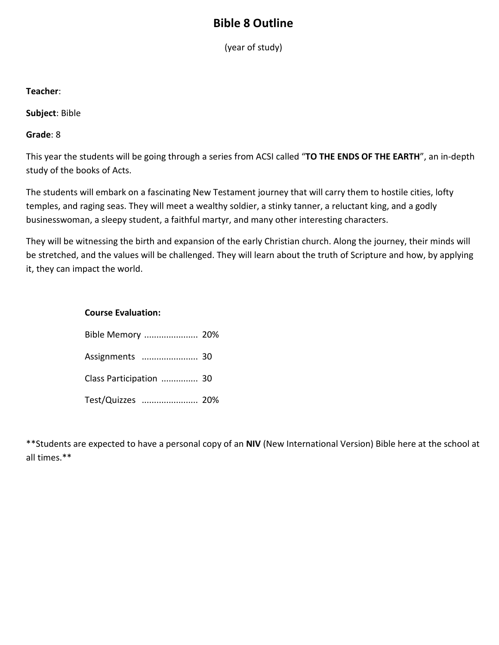## **Bible 8 Outline**

(year of study)

### **Teacher**:

**Subject**: Bible

**Grade**: 8

This year the students will be going through a series from ACSI called "**TO THE ENDS OF THE EARTH**", an in-depth study of the books of Acts.

The students will embark on a fascinating New Testament journey that will carry them to hostile cities, lofty temples, and raging seas. They will meet a wealthy soldier, a stinky tanner, a reluctant king, and a godly businesswoman, a sleepy student, a faithful martyr, and many other interesting characters.

They will be witnessing the birth and expansion of the early Christian church. Along the journey, their minds will be stretched, and the values will be challenged. They will learn about the truth of Scripture and how, by applying it, they can impact the world.

### **Course Evaluation:**

| Bible Memory  20%       |  |
|-------------------------|--|
| Assignments  30         |  |
| Class Participation  30 |  |
| Test/Quizzes  20%       |  |

\*\*Students are expected to have a personal copy of an **NIV** (New International Version) Bible here at the school at all times.\*\*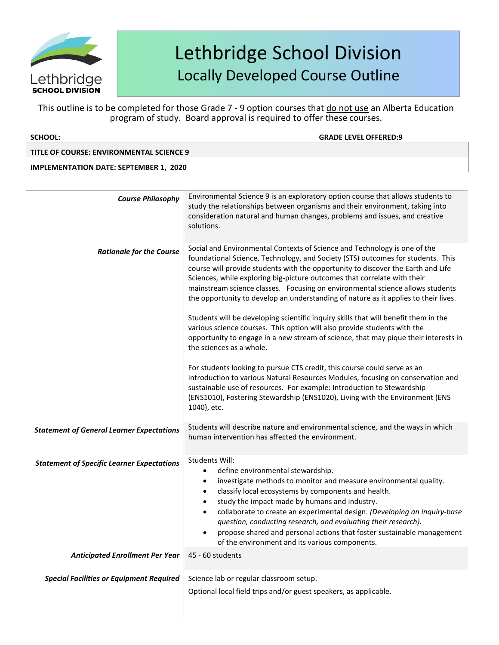

This outline is to be completed for those Grade 7 - 9 option courses that do not use an Alberta Education program of study. Board approval is required to offer these courses.

| <b>SCHOOL:</b>                                    | <b>GRADE LEVEL OFFERED:9</b>                                                                                                                                                                                                                                                                                                                                                                                                                                                                                                                                                                                                                                                                                                                                                                                                                                                                                                                                                                                                                                                                                        |
|---------------------------------------------------|---------------------------------------------------------------------------------------------------------------------------------------------------------------------------------------------------------------------------------------------------------------------------------------------------------------------------------------------------------------------------------------------------------------------------------------------------------------------------------------------------------------------------------------------------------------------------------------------------------------------------------------------------------------------------------------------------------------------------------------------------------------------------------------------------------------------------------------------------------------------------------------------------------------------------------------------------------------------------------------------------------------------------------------------------------------------------------------------------------------------|
| <b>TITLE OF COURSE: ENVIRONMENTAL SCIENCE 9</b>   |                                                                                                                                                                                                                                                                                                                                                                                                                                                                                                                                                                                                                                                                                                                                                                                                                                                                                                                                                                                                                                                                                                                     |
| <b>IMPLEMENTATION DATE: SEPTEMBER 1, 2020</b>     |                                                                                                                                                                                                                                                                                                                                                                                                                                                                                                                                                                                                                                                                                                                                                                                                                                                                                                                                                                                                                                                                                                                     |
|                                                   |                                                                                                                                                                                                                                                                                                                                                                                                                                                                                                                                                                                                                                                                                                                                                                                                                                                                                                                                                                                                                                                                                                                     |
| <b>Course Philosophy</b>                          | Environmental Science 9 is an exploratory option course that allows students to<br>study the relationships between organisms and their environment, taking into<br>consideration natural and human changes, problems and issues, and creative<br>solutions.                                                                                                                                                                                                                                                                                                                                                                                                                                                                                                                                                                                                                                                                                                                                                                                                                                                         |
| <b>Rationale for the Course</b>                   | Social and Environmental Contexts of Science and Technology is one of the<br>foundational Science, Technology, and Society (STS) outcomes for students. This<br>course will provide students with the opportunity to discover the Earth and Life<br>Sciences, while exploring big-picture outcomes that correlate with their<br>mainstream science classes. Focusing on environmental science allows students<br>the opportunity to develop an understanding of nature as it applies to their lives.<br>Students will be developing scientific inquiry skills that will benefit them in the<br>various science courses. This option will also provide students with the<br>opportunity to engage in a new stream of science, that may pique their interests in<br>the sciences as a whole.<br>For students looking to pursue CTS credit, this course could serve as an<br>introduction to various Natural Resources Modules, focusing on conservation and<br>sustainable use of resources. For example: Introduction to Stewardship<br>(ENS1010), Fostering Stewardship (ENS1020), Living with the Environment (ENS |
|                                                   | 1040), etc.                                                                                                                                                                                                                                                                                                                                                                                                                                                                                                                                                                                                                                                                                                                                                                                                                                                                                                                                                                                                                                                                                                         |
| <b>Statement of General Learner Expectations</b>  | Students will describe nature and environmental science, and the ways in which<br>human intervention has affected the environment.                                                                                                                                                                                                                                                                                                                                                                                                                                                                                                                                                                                                                                                                                                                                                                                                                                                                                                                                                                                  |
| <b>Statement of Specific Learner Expectations</b> | Students Will:<br>define environmental stewardship.<br>investigate methods to monitor and measure environmental quality.<br>$\bullet$<br>classify local ecosystems by components and health.<br>study the impact made by humans and industry.<br>collaborate to create an experimental design. (Developing an inquiry-base<br>question, conducting research, and evaluating their research).<br>propose shared and personal actions that foster sustainable management<br>of the environment and its various components.                                                                                                                                                                                                                                                                                                                                                                                                                                                                                                                                                                                            |
| <b>Anticipated Enrollment Per Year</b>            | 45 - 60 students                                                                                                                                                                                                                                                                                                                                                                                                                                                                                                                                                                                                                                                                                                                                                                                                                                                                                                                                                                                                                                                                                                    |
| <b>Special Facilities or Equipment Required</b>   | Science lab or regular classroom setup.<br>Optional local field trips and/or guest speakers, as applicable.                                                                                                                                                                                                                                                                                                                                                                                                                                                                                                                                                                                                                                                                                                                                                                                                                                                                                                                                                                                                         |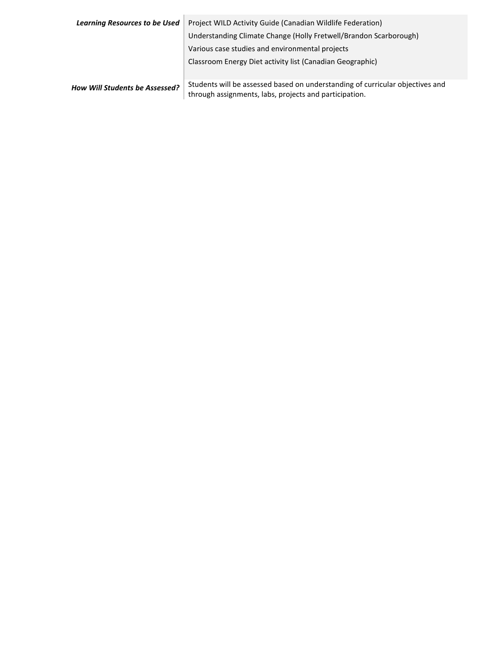| <b>Learning Resources to be Used</b>  | Project WILD Activity Guide (Canadian Wildlife Federation)                                                                              |
|---------------------------------------|-----------------------------------------------------------------------------------------------------------------------------------------|
|                                       | Understanding Climate Change (Holly Fretwell/Brandon Scarborough)                                                                       |
|                                       | Various case studies and environmental projects                                                                                         |
|                                       | Classroom Energy Diet activity list (Canadian Geographic)                                                                               |
| <b>How Will Students be Assessed?</b> | Students will be assessed based on understanding of curricular objectives and<br>through assignments, labs, projects and participation. |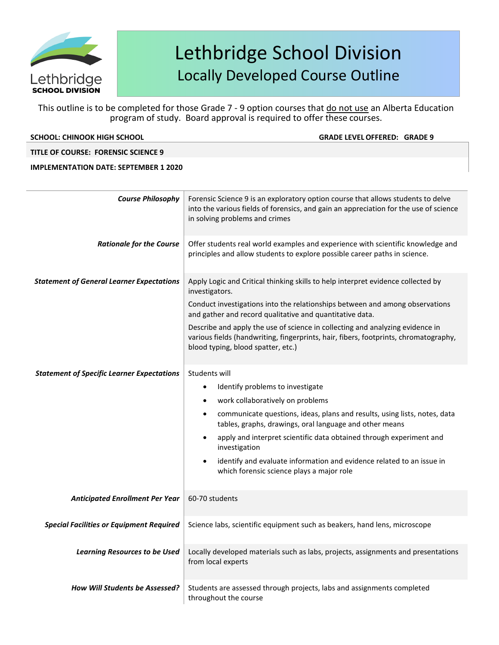

This outline is to be completed for those Grade 7 - 9 option courses that do not use an Alberta Education program of study. Board approval is required to offer these courses.

**SCHOOL: CHINOOK HIGH SCHOOL GRADE LEVELOFFERED: GRADE 9**

### **TITLE OF COURSE: FORENSIC SCIENCE 9**

| <b>Course Philosophy</b>                          | Forensic Science 9 is an exploratory option course that allows students to delve<br>into the various fields of forensics, and gain an appreciation for the use of science<br>in solving problems and crimes                                                                                                                                                                                                                                                           |
|---------------------------------------------------|-----------------------------------------------------------------------------------------------------------------------------------------------------------------------------------------------------------------------------------------------------------------------------------------------------------------------------------------------------------------------------------------------------------------------------------------------------------------------|
| <b>Rationale for the Course</b>                   | Offer students real world examples and experience with scientific knowledge and<br>principles and allow students to explore possible career paths in science.                                                                                                                                                                                                                                                                                                         |
| <b>Statement of General Learner Expectations</b>  | Apply Logic and Critical thinking skills to help interpret evidence collected by<br>investigators.<br>Conduct investigations into the relationships between and among observations<br>and gather and record qualitative and quantitative data.<br>Describe and apply the use of science in collecting and analyzing evidence in<br>various fields (handwriting, fingerprints, hair, fibers, footprints, chromatography,<br>blood typing, blood spatter, etc.)         |
| <b>Statement of Specific Learner Expectations</b> | Students will<br>Identify problems to investigate<br>$\bullet$<br>work collaboratively on problems<br>communicate questions, ideas, plans and results, using lists, notes, data<br>tables, graphs, drawings, oral language and other means<br>apply and interpret scientific data obtained through experiment and<br>investigation<br>identify and evaluate information and evidence related to an issue in<br>$\bullet$<br>which forensic science plays a major role |
| <b>Anticipated Enrollment Per Year</b>            | 60-70 students                                                                                                                                                                                                                                                                                                                                                                                                                                                        |
| <b>Special Facilities or Equipment Required</b>   | Science labs, scientific equipment such as beakers, hand lens, microscope                                                                                                                                                                                                                                                                                                                                                                                             |
| <b>Learning Resources to be Used</b>              | Locally developed materials such as labs, projects, assignments and presentations<br>from local experts                                                                                                                                                                                                                                                                                                                                                               |
| <b>How Will Students be Assessed?</b>             | Students are assessed through projects, labs and assignments completed<br>throughout the course                                                                                                                                                                                                                                                                                                                                                                       |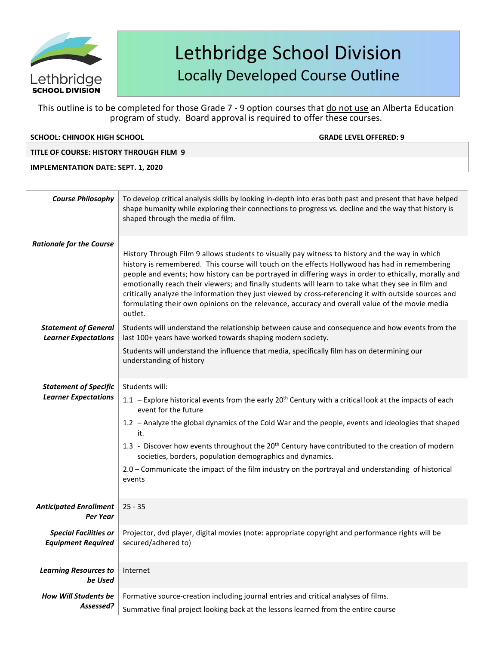

This outline is to be completed for those Grade 7 - 9 option courses that do not use an Alberta Education program of study. Board approval is required to offer these courses.

### **SCHOOL: CHINOOK HIGH SCHOOL GRADE LEVELOFFERED: 9**

### **TITLE OF COURSE: HISTORY THROUGH FILM 9**

#### **IMPLEMENTATION DATE: SEPT. 1, 2020**

| <b>Course Philosophy</b>                                    | To develop critical analysis skills by looking in-depth into eras both past and present that have helped<br>shape humanity while exploring their connections to progress vs. decline and the way that history is<br>shaped through the media of film.                                                                                                                                                                                                                                                                                                                                                                              |
|-------------------------------------------------------------|------------------------------------------------------------------------------------------------------------------------------------------------------------------------------------------------------------------------------------------------------------------------------------------------------------------------------------------------------------------------------------------------------------------------------------------------------------------------------------------------------------------------------------------------------------------------------------------------------------------------------------|
| <b>Rationale for the Course</b>                             | History Through Film 9 allows students to visually pay witness to history and the way in which<br>history is remembered. This course will touch on the effects Hollywood has had in remembering<br>people and events; how history can be portrayed in differing ways in order to ethically, morally and<br>emotionally reach their viewers; and finally students will learn to take what they see in film and<br>critically analyze the information they just viewed by cross-referencing it with outside sources and<br>formulating their own opinions on the relevance, accuracy and overall value of the movie media<br>outlet. |
| <b>Statement of General</b><br><b>Learner Expectations</b>  | Students will understand the relationship between cause and consequence and how events from the<br>last 100+ years have worked towards shaping modern society.<br>Students will understand the influence that media, specifically film has on determining our<br>understanding of history                                                                                                                                                                                                                                                                                                                                          |
| <b>Statement of Specific</b><br><b>Learner Expectations</b> | Students will:<br>1.1 - Explore historical events from the early 20 <sup>th</sup> Century with a critical look at the impacts of each<br>event for the future<br>1.2 - Analyze the global dynamics of the Cold War and the people, events and ideologies that shaped<br>it.<br>1.3 - Discover how events throughout the 20 <sup>th</sup> Century have contributed to the creation of modern<br>societies, borders, population demographics and dynamics.<br>2.0 - Communicate the impact of the film industry on the portrayal and understanding of historical<br>events                                                           |
| <b>Anticipated Enrollment</b><br>Per Year                   | $25 - 35$                                                                                                                                                                                                                                                                                                                                                                                                                                                                                                                                                                                                                          |
| <b>Special Facilities or</b><br><b>Equipment Required</b>   | Projector, dvd player, digital movies (note: appropriate copyright and performance rights will be<br>secured/adhered to)                                                                                                                                                                                                                                                                                                                                                                                                                                                                                                           |
| <b>Learning Resources to</b><br>be Used                     | Internet                                                                                                                                                                                                                                                                                                                                                                                                                                                                                                                                                                                                                           |
| <b>How Will Students be</b><br>Assessed?                    | Formative source-creation including journal entries and critical analyses of films.<br>Summative final project looking back at the lessons learned from the entire course                                                                                                                                                                                                                                                                                                                                                                                                                                                          |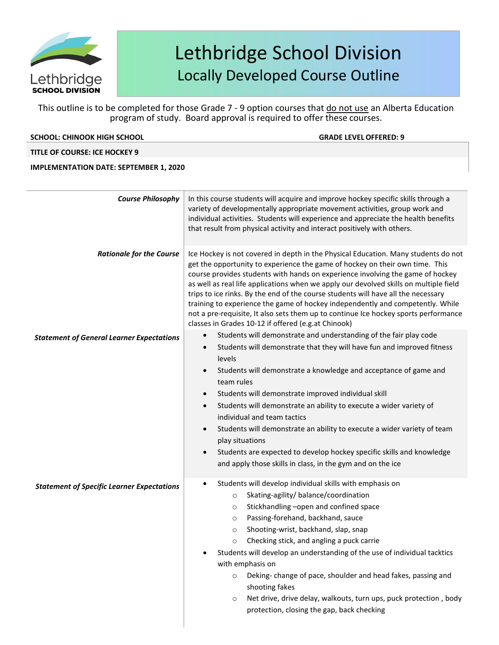

This outline is to be completed for those Grade 7 - 9 option courses that do not use an Alberta Education program of study. Board approval is required to offer these courses.

| <b>SCHOOL: CHINOOK HIGH SCHOOL</b>                | <b>GRADE LEVEL OFFERED: 9</b>                                                                                                                                                                                                                                                                                                                                                                                                                                                                                                                                                                                                                                                   |
|---------------------------------------------------|---------------------------------------------------------------------------------------------------------------------------------------------------------------------------------------------------------------------------------------------------------------------------------------------------------------------------------------------------------------------------------------------------------------------------------------------------------------------------------------------------------------------------------------------------------------------------------------------------------------------------------------------------------------------------------|
| <b>TITLE OF COURSE: ICE HOCKEY 9</b>              |                                                                                                                                                                                                                                                                                                                                                                                                                                                                                                                                                                                                                                                                                 |
| <b>IMPLEMENTATION DATE: SEPTEMBER 1, 2020</b>     |                                                                                                                                                                                                                                                                                                                                                                                                                                                                                                                                                                                                                                                                                 |
|                                                   |                                                                                                                                                                                                                                                                                                                                                                                                                                                                                                                                                                                                                                                                                 |
| <b>Course Philosophy</b>                          | In this course students will acquire and improve hockey specific skills through a<br>variety of developmentally appropriate movement activities, group work and<br>individual activities. Students will experience and appreciate the health benefits<br>that result from physical activity and interact positively with others.                                                                                                                                                                                                                                                                                                                                                |
| <b>Rationale for the Course</b>                   | Ice Hockey is not covered in depth in the Physical Education. Many students do not<br>get the opportunity to experience the game of hockey on their own time. This<br>course provides students with hands on experience involving the game of hockey<br>as well as real life applications when we apply our devolved skills on multiple field<br>trips to ice rinks. By the end of the course students will have all the necessary<br>training to experience the game of hockey independently and competently. While<br>not a pre-requisite, It also sets them up to continue Ice hockey sports performance<br>classes in Grades 10-12 if offered (e.g.at Chinook)              |
| <b>Statement of General Learner Expectations</b>  | Students will demonstrate and understanding of the fair play code<br>$\bullet$<br>Students will demonstrate that they will have fun and improved fitness<br>levels<br>Students will demonstrate a knowledge and acceptance of game and<br>$\bullet$<br>team rules<br>Students will demonstrate improved individual skill<br>Students will demonstrate an ability to execute a wider variety of<br>$\bullet$<br>individual and team tactics<br>Students will demonstrate an ability to execute a wider variety of team<br>play situations<br>Students are expected to develop hockey specific skills and knowledge<br>and apply those skills in class, in the gym and on the ice |
| <b>Statement of Specific Learner Expectations</b> | Students will develop individual skills with emphasis on<br>Skating-agility/balance/coordination<br>$\circ$<br>Stickhandling -open and confined space<br>$\circ$<br>Passing-forehand, backhand, sauce<br>$\circ$<br>Shooting-wrist, backhand, slap, snap<br>$\circ$<br>Checking stick, and angling a puck carrie<br>$\circ$<br>Students will develop an understanding of the use of individual tacktics<br>with emphasis on<br>Deking-change of pace, shoulder and head fakes, passing and<br>$\circ$<br>shooting fakes<br>Net drive, drive delay, walkouts, turn ups, puck protection, body<br>$\circ$<br>protection, closing the gap, back checking                           |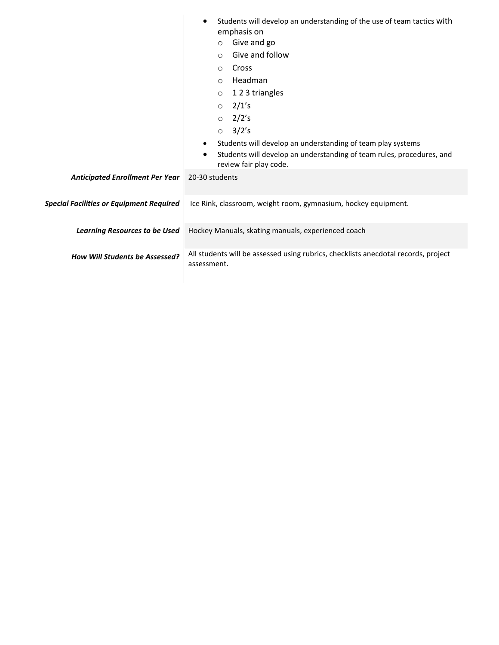| emphasis on<br>Give and go<br>$\circ$<br>Give and follow<br>$\circ$                                                                        |
|--------------------------------------------------------------------------------------------------------------------------------------------|
|                                                                                                                                            |
|                                                                                                                                            |
| Cross<br>$\circ$                                                                                                                           |
| Headman<br>$\circ$                                                                                                                         |
| 123 triangles<br>$\circ$                                                                                                                   |
| $\circ$ 2/1's                                                                                                                              |
| $\circ$ 2/2's                                                                                                                              |
| $\circ$ 3/2's                                                                                                                              |
| Students will develop an understanding of team play systems<br>$\bullet$                                                                   |
| Students will develop an understanding of team rules, procedures, and<br>review fair play code.                                            |
| <b>Anticipated Enrollment Per Year</b><br>20-30 students                                                                                   |
| <b>Special Facilities or Equipment Required</b><br>Ice Rink, classroom, weight room, gymnasium, hockey equipment.                          |
| Hockey Manuals, skating manuals, experienced coach<br><b>Learning Resources to be Used</b>                                                 |
| All students will be assessed using rubrics, checklists anecdotal records, project<br><b>How Will Students be Assessed?</b><br>assessment. |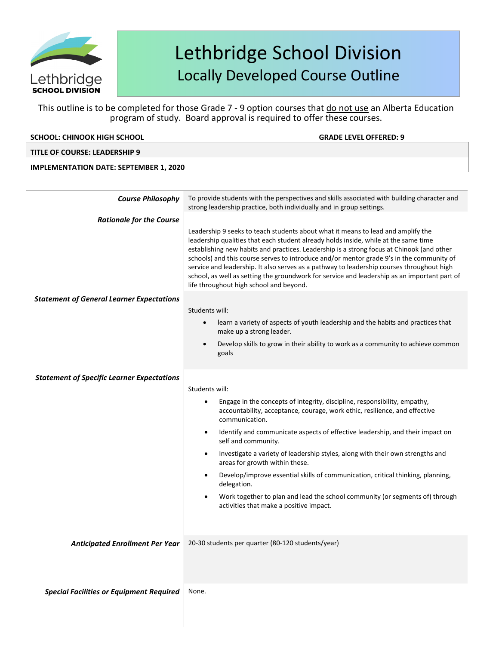

This outline is to be completed for those Grade 7 - 9 option courses that do not use an Alberta Education program of study. Board approval is required to offer these courses.

| SCHOOL: CHINOOK HIGH SCHOOL                       | <b>GRADE LEVEL OFFERED: 9</b>                                                                                                                                                                                                                                                                                                                                                                                                                                                                                                                                                                            |
|---------------------------------------------------|----------------------------------------------------------------------------------------------------------------------------------------------------------------------------------------------------------------------------------------------------------------------------------------------------------------------------------------------------------------------------------------------------------------------------------------------------------------------------------------------------------------------------------------------------------------------------------------------------------|
| <b>TITLE OF COURSE: LEADERSHIP 9</b>              |                                                                                                                                                                                                                                                                                                                                                                                                                                                                                                                                                                                                          |
| <b>IMPLEMENTATION DATE: SEPTEMBER 1, 2020</b>     |                                                                                                                                                                                                                                                                                                                                                                                                                                                                                                                                                                                                          |
|                                                   |                                                                                                                                                                                                                                                                                                                                                                                                                                                                                                                                                                                                          |
| <b>Course Philosophy</b>                          | To provide students with the perspectives and skills associated with building character and<br>strong leadership practice, both individually and in group settings.                                                                                                                                                                                                                                                                                                                                                                                                                                      |
| <b>Rationale for the Course</b>                   |                                                                                                                                                                                                                                                                                                                                                                                                                                                                                                                                                                                                          |
|                                                   | Leadership 9 seeks to teach students about what it means to lead and amplify the<br>leadership qualities that each student already holds inside, while at the same time<br>establishing new habits and practices. Leadership is a strong focus at Chinook (and other<br>schools) and this course serves to introduce and/or mentor grade 9's in the community of<br>service and leadership. It also serves as a pathway to leadership courses throughout high<br>school, as well as setting the groundwork for service and leadership as an important part of<br>life throughout high school and beyond. |
| <b>Statement of General Learner Expectations</b>  |                                                                                                                                                                                                                                                                                                                                                                                                                                                                                                                                                                                                          |
|                                                   | Students will:                                                                                                                                                                                                                                                                                                                                                                                                                                                                                                                                                                                           |
|                                                   | learn a variety of aspects of youth leadership and the habits and practices that<br>$\bullet$<br>make up a strong leader.                                                                                                                                                                                                                                                                                                                                                                                                                                                                                |
|                                                   | Develop skills to grow in their ability to work as a community to achieve common<br>$\bullet$<br>goals                                                                                                                                                                                                                                                                                                                                                                                                                                                                                                   |
| <b>Statement of Specific Learner Expectations</b> |                                                                                                                                                                                                                                                                                                                                                                                                                                                                                                                                                                                                          |
|                                                   | Students will:                                                                                                                                                                                                                                                                                                                                                                                                                                                                                                                                                                                           |
|                                                   | Engage in the concepts of integrity, discipline, responsibility, empathy,<br>$\bullet$<br>accountability, acceptance, courage, work ethic, resilience, and effective<br>communication.                                                                                                                                                                                                                                                                                                                                                                                                                   |
|                                                   | Identify and communicate aspects of effective leadership, and their impact on<br>$\bullet$<br>self and community.                                                                                                                                                                                                                                                                                                                                                                                                                                                                                        |
|                                                   | Investigate a variety of leadership styles, along with their own strengths and<br>$\bullet$<br>areas for growth within these.                                                                                                                                                                                                                                                                                                                                                                                                                                                                            |
|                                                   | Develop/improve essential skills of communication, critical thinking, planning,<br>$\bullet$<br>delegation.                                                                                                                                                                                                                                                                                                                                                                                                                                                                                              |
|                                                   | Work together to plan and lead the school community (or segments of) through<br>٠<br>activities that make a positive impact.                                                                                                                                                                                                                                                                                                                                                                                                                                                                             |
|                                                   |                                                                                                                                                                                                                                                                                                                                                                                                                                                                                                                                                                                                          |
| <b>Anticipated Enrollment Per Year</b>            | 20-30 students per quarter (80-120 students/year)                                                                                                                                                                                                                                                                                                                                                                                                                                                                                                                                                        |
|                                                   |                                                                                                                                                                                                                                                                                                                                                                                                                                                                                                                                                                                                          |
| <b>Special Facilities or Equipment Required</b>   | None.                                                                                                                                                                                                                                                                                                                                                                                                                                                                                                                                                                                                    |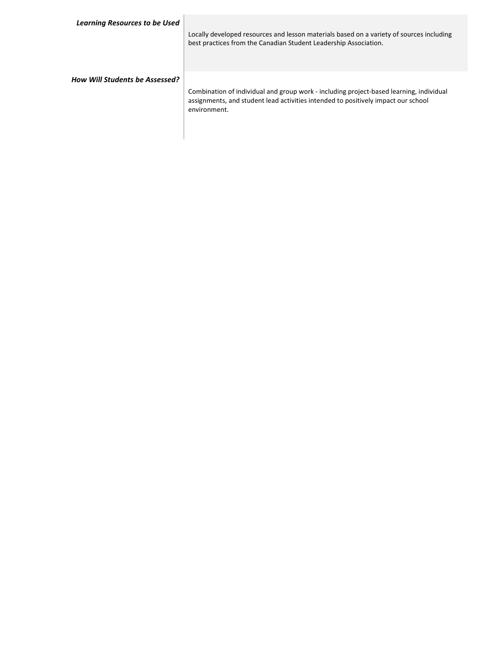| <b>Learning Resources to be Used</b>  | Locally developed resources and lesson materials based on a variety of sources including<br>best practices from the Canadian Student Leadership Association.                                 |
|---------------------------------------|----------------------------------------------------------------------------------------------------------------------------------------------------------------------------------------------|
| <b>How Will Students be Assessed?</b> | Combination of individual and group work - including project-based learning, individual<br>assignments, and student lead activities intended to positively impact our school<br>environment. |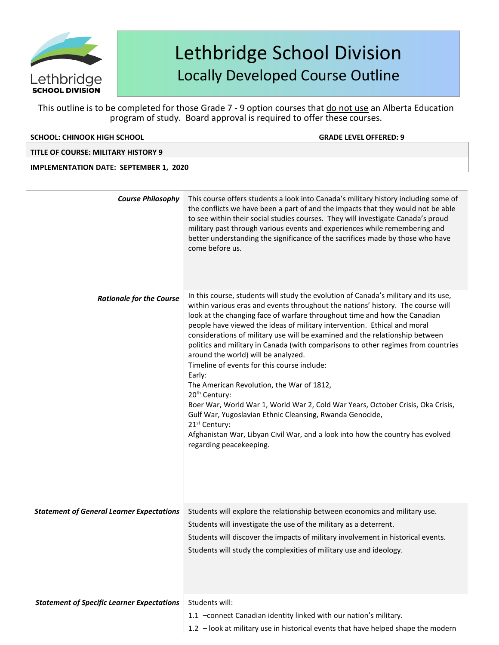

This outline is to be completed for those Grade 7 - 9 option courses that do not use an Alberta Education program of study. Board approval is required to offer these courses.

#### **SCHOOL: CHINOOK HIGH SCHOOL GRADE LEVELOFFERED: 9**

### **TITLE OF COURSE: MILITARY HISTORY 9**

| <b>Course Philosophy</b>                          | This course offers students a look into Canada's military history including some of<br>the conflicts we have been a part of and the impacts that they would not be able<br>to see within their social studies courses. They will investigate Canada's proud<br>military past through various events and experiences while remembering and<br>better understanding the significance of the sacrifices made by those who have<br>come before us.                                                                            |
|---------------------------------------------------|---------------------------------------------------------------------------------------------------------------------------------------------------------------------------------------------------------------------------------------------------------------------------------------------------------------------------------------------------------------------------------------------------------------------------------------------------------------------------------------------------------------------------|
| <b>Rationale for the Course</b>                   | In this course, students will study the evolution of Canada's military and its use,<br>within various eras and events throughout the nations' history. The course will<br>look at the changing face of warfare throughout time and how the Canadian<br>people have viewed the ideas of military intervention. Ethical and moral<br>considerations of military use will be examined and the relationship between                                                                                                           |
|                                                   | politics and military in Canada (with comparisons to other regimes from countries<br>around the world) will be analyzed.<br>Timeline of events for this course include:<br>Early:<br>The American Revolution, the War of 1812,<br>20 <sup>th</sup> Century:<br>Boer War, World War 1, World War 2, Cold War Years, October Crisis, Oka Crisis,<br>Gulf War, Yugoslavian Ethnic Cleansing, Rwanda Genocide,<br>21 <sup>st</sup> Century:<br>Afghanistan War, Libyan Civil War, and a look into how the country has evolved |
|                                                   | regarding peacekeeping.                                                                                                                                                                                                                                                                                                                                                                                                                                                                                                   |
| <b>Statement of General Learner Expectations</b>  | Students will explore the relationship between economics and military use.<br>Students will investigate the use of the military as a deterrent.<br>Students will discover the impacts of military involvement in historical events.<br>Students will study the complexities of military use and ideology.                                                                                                                                                                                                                 |
| <b>Statement of Specific Learner Expectations</b> | Students will:<br>1.1 -connect Canadian identity linked with our nation's military.<br>1.2 - look at military use in historical events that have helped shape the modern                                                                                                                                                                                                                                                                                                                                                  |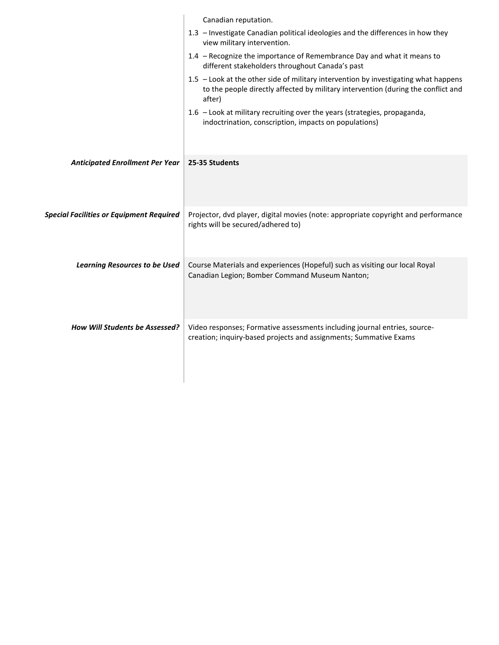|                                                 | Canadian reputation.                                                                                                                                                               |
|-------------------------------------------------|------------------------------------------------------------------------------------------------------------------------------------------------------------------------------------|
|                                                 | 1.3 - Investigate Canadian political ideologies and the differences in how they<br>view military intervention.                                                                     |
|                                                 | 1.4 - Recognize the importance of Remembrance Day and what it means to<br>different stakeholders throughout Canada's past                                                          |
|                                                 | 1.5 - Look at the other side of military intervention by investigating what happens<br>to the people directly affected by military intervention (during the conflict and<br>after) |
|                                                 | 1.6 - Look at military recruiting over the years (strategies, propaganda,<br>indoctrination, conscription, impacts on populations)                                                 |
| <b>Anticipated Enrollment Per Year</b>          | 25-35 Students                                                                                                                                                                     |
| <b>Special Facilities or Equipment Required</b> | Projector, dvd player, digital movies (note: appropriate copyright and performance<br>rights will be secured/adhered to)                                                           |
| <b>Learning Resources to be Used</b>            | Course Materials and experiences (Hopeful) such as visiting our local Royal<br>Canadian Legion; Bomber Command Museum Nanton;                                                      |
| How Will Students be Assessed?                  | Video responses; Formative assessments including journal entries, source-<br>creation; inquiry-based projects and assignments; Summative Exams                                     |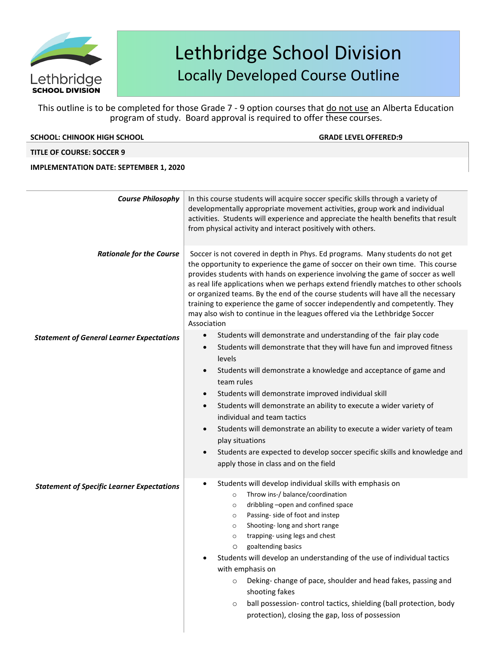

This outline is to be completed for those Grade 7 - 9 option courses that do not use an Alberta Education program of study. Board approval is required to offer these courses.

| <b>SCHOOL: CHINOOK HIGH SCHOOL</b>                | <b>GRADE LEVEL OFFERED:9</b>                                                                                                                                                                                                                                                                                                                                                                                                                                                                                                                                                                                                                                                             |
|---------------------------------------------------|------------------------------------------------------------------------------------------------------------------------------------------------------------------------------------------------------------------------------------------------------------------------------------------------------------------------------------------------------------------------------------------------------------------------------------------------------------------------------------------------------------------------------------------------------------------------------------------------------------------------------------------------------------------------------------------|
| <b>TITLE OF COURSE: SOCCER 9</b>                  |                                                                                                                                                                                                                                                                                                                                                                                                                                                                                                                                                                                                                                                                                          |
| <b>IMPLEMENTATION DATE: SEPTEMBER 1, 2020</b>     |                                                                                                                                                                                                                                                                                                                                                                                                                                                                                                                                                                                                                                                                                          |
| <b>Course Philosophy</b>                          | In this course students will acquire soccer specific skills through a variety of<br>developmentally appropriate movement activities, group work and individual<br>activities. Students will experience and appreciate the health benefits that result<br>from physical activity and interact positively with others.                                                                                                                                                                                                                                                                                                                                                                     |
| <b>Rationale for the Course</b>                   | Soccer is not covered in depth in Phys. Ed programs. Many students do not get<br>the opportunity to experience the game of soccer on their own time. This course<br>provides students with hands on experience involving the game of soccer as well<br>as real life applications when we perhaps extend friendly matches to other schools<br>or organized teams. By the end of the course students will have all the necessary<br>training to experience the game of soccer independently and competently. They<br>may also wish to continue in the leagues offered via the Lethbridge Soccer<br>Association                                                                             |
| <b>Statement of General Learner Expectations</b>  | Students will demonstrate and understanding of the fair play code<br>$\bullet$<br>Students will demonstrate that they will have fun and improved fitness<br>$\bullet$<br>levels<br>Students will demonstrate a knowledge and acceptance of game and<br>team rules<br>Students will demonstrate improved individual skill<br>$\bullet$<br>Students will demonstrate an ability to execute a wider variety of<br>$\bullet$<br>individual and team tactics<br>Students will demonstrate an ability to execute a wider variety of team<br>play situations<br>Students are expected to develop soccer specific skills and knowledge and<br>$\bullet$<br>apply those in class and on the field |
| <b>Statement of Specific Learner Expectations</b> | Students will develop individual skills with emphasis on<br>Throw ins-/ balance/coordination<br>$\circ$<br>dribbling -open and confined space<br>$\circ$<br>Passing- side of foot and instep<br>$\circ$<br>Shooting- long and short range<br>$\circ$<br>trapping- using legs and chest<br>$\circ$<br>goaltending basics<br>O<br>Students will develop an understanding of the use of individual tactics<br>with emphasis on                                                                                                                                                                                                                                                              |

- o Deking- change of pace, shoulder and head fakes, passing and shooting fakes
- o ball possession- control tactics, shielding (ball protection, body protection), closing the gap, loss of possession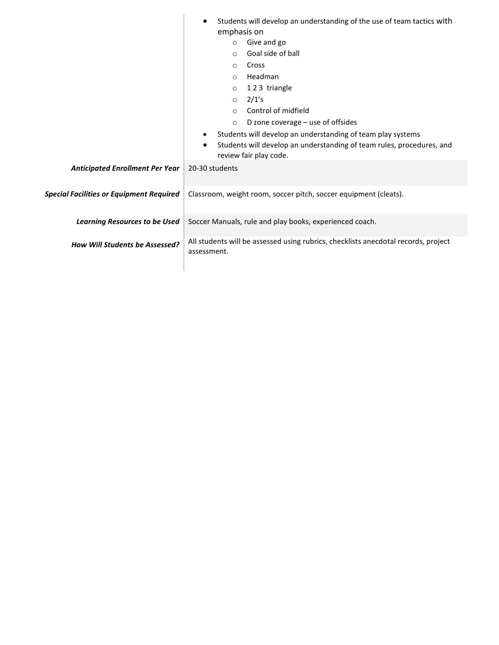|                                                 | Students will develop an understanding of the use of team tactics with<br>$\bullet$                          |  |
|-------------------------------------------------|--------------------------------------------------------------------------------------------------------------|--|
|                                                 | emphasis on                                                                                                  |  |
|                                                 | Give and go<br>$\circ$                                                                                       |  |
|                                                 | Goal side of ball<br>$\circ$                                                                                 |  |
|                                                 | Cross<br>$\circ$                                                                                             |  |
|                                                 | Headman<br>$\circ$                                                                                           |  |
|                                                 | 123 triangle<br>$\circ$                                                                                      |  |
|                                                 | 2/1's<br>$\circ$                                                                                             |  |
|                                                 | Control of midfield<br>$\circ$                                                                               |  |
|                                                 | D zone coverage $-$ use of offsides<br>$\circ$                                                               |  |
|                                                 | Students will develop an understanding of team play systems                                                  |  |
|                                                 | Students will develop an understanding of team rules, procedures, and<br>$\bullet$<br>review fair play code. |  |
| <b>Anticipated Enrollment Per Year</b>          | 20-30 students                                                                                               |  |
| <b>Special Facilities or Equipment Required</b> | Classroom, weight room, soccer pitch, soccer equipment (cleats).                                             |  |
| <b>Learning Resources to be Used</b>            | Soccer Manuals, rule and play books, experienced coach.                                                      |  |
| <b>How Will Students be Assessed?</b>           | All students will be assessed using rubrics, checklists anecdotal records, project<br>assessment.            |  |
|                                                 |                                                                                                              |  |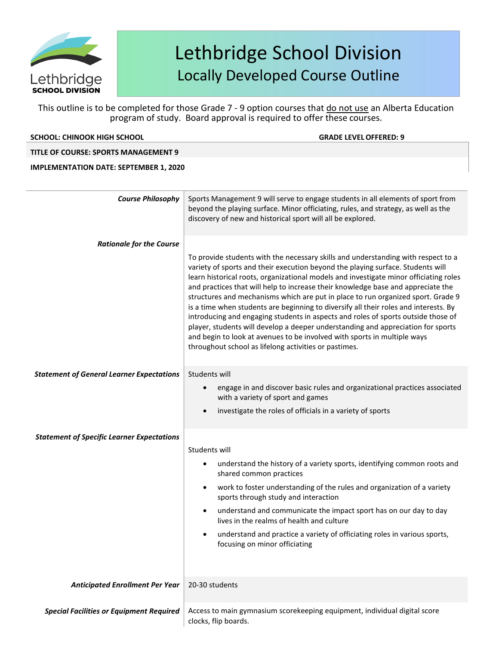

This outline is to be completed for those Grade 7 - 9 option courses that do not use an Alberta Education program of study. Board approval is required to offer these courses.

| program of study. Board approval is required to offer these courses. |                                                                                                                                                                                                                                                                                                                                                                                                                                                                                                                                                                                                                                                                                                                                                                                                                                             |  |
|----------------------------------------------------------------------|---------------------------------------------------------------------------------------------------------------------------------------------------------------------------------------------------------------------------------------------------------------------------------------------------------------------------------------------------------------------------------------------------------------------------------------------------------------------------------------------------------------------------------------------------------------------------------------------------------------------------------------------------------------------------------------------------------------------------------------------------------------------------------------------------------------------------------------------|--|
| <b>SCHOOL: CHINOOK HIGH SCHOOL</b>                                   | <b>GRADE LEVEL OFFERED: 9</b>                                                                                                                                                                                                                                                                                                                                                                                                                                                                                                                                                                                                                                                                                                                                                                                                               |  |
| <b>TITLE OF COURSE: SPORTS MANAGEMENT 9</b>                          |                                                                                                                                                                                                                                                                                                                                                                                                                                                                                                                                                                                                                                                                                                                                                                                                                                             |  |
| <b>IMPLEMENTATION DATE: SEPTEMBER 1, 2020</b>                        |                                                                                                                                                                                                                                                                                                                                                                                                                                                                                                                                                                                                                                                                                                                                                                                                                                             |  |
|                                                                      |                                                                                                                                                                                                                                                                                                                                                                                                                                                                                                                                                                                                                                                                                                                                                                                                                                             |  |
| <b>Course Philosophy</b>                                             | Sports Management 9 will serve to engage students in all elements of sport from<br>beyond the playing surface. Minor officiating, rules, and strategy, as well as the<br>discovery of new and historical sport will all be explored.                                                                                                                                                                                                                                                                                                                                                                                                                                                                                                                                                                                                        |  |
| <b>Rationale for the Course</b>                                      |                                                                                                                                                                                                                                                                                                                                                                                                                                                                                                                                                                                                                                                                                                                                                                                                                                             |  |
|                                                                      | To provide students with the necessary skills and understanding with respect to a<br>variety of sports and their execution beyond the playing surface. Students will<br>learn historical roots, organizational models and investigate minor officiating roles<br>and practices that will help to increase their knowledge base and appreciate the<br>structures and mechanisms which are put in place to run organized sport. Grade 9<br>is a time when students are beginning to diversify all their roles and interests. By<br>introducing and engaging students in aspects and roles of sports outside those of<br>player, students will develop a deeper understanding and appreciation for sports<br>and begin to look at avenues to be involved with sports in multiple ways<br>throughout school as lifelong activities or pastimes. |  |
| <b>Statement of General Learner Expectations</b>                     | Students will                                                                                                                                                                                                                                                                                                                                                                                                                                                                                                                                                                                                                                                                                                                                                                                                                               |  |
|                                                                      | engage in and discover basic rules and organizational practices associated<br>with a variety of sport and games                                                                                                                                                                                                                                                                                                                                                                                                                                                                                                                                                                                                                                                                                                                             |  |
|                                                                      | investigate the roles of officials in a variety of sports                                                                                                                                                                                                                                                                                                                                                                                                                                                                                                                                                                                                                                                                                                                                                                                   |  |
| <b>Statement of Specific Learner Expectations</b>                    |                                                                                                                                                                                                                                                                                                                                                                                                                                                                                                                                                                                                                                                                                                                                                                                                                                             |  |
|                                                                      | Students will                                                                                                                                                                                                                                                                                                                                                                                                                                                                                                                                                                                                                                                                                                                                                                                                                               |  |
|                                                                      | understand the history of a variety sports, identifying common roots and<br>shared common practices                                                                                                                                                                                                                                                                                                                                                                                                                                                                                                                                                                                                                                                                                                                                         |  |
|                                                                      | work to foster understanding of the rules and organization of a variety<br>sports through study and interaction                                                                                                                                                                                                                                                                                                                                                                                                                                                                                                                                                                                                                                                                                                                             |  |
|                                                                      | understand and communicate the impact sport has on our day to day<br>lives in the realms of health and culture                                                                                                                                                                                                                                                                                                                                                                                                                                                                                                                                                                                                                                                                                                                              |  |
|                                                                      | understand and practice a variety of officiating roles in various sports,<br>focusing on minor officiating                                                                                                                                                                                                                                                                                                                                                                                                                                                                                                                                                                                                                                                                                                                                  |  |

Anticipated Enrollment Per Year | 20-30 students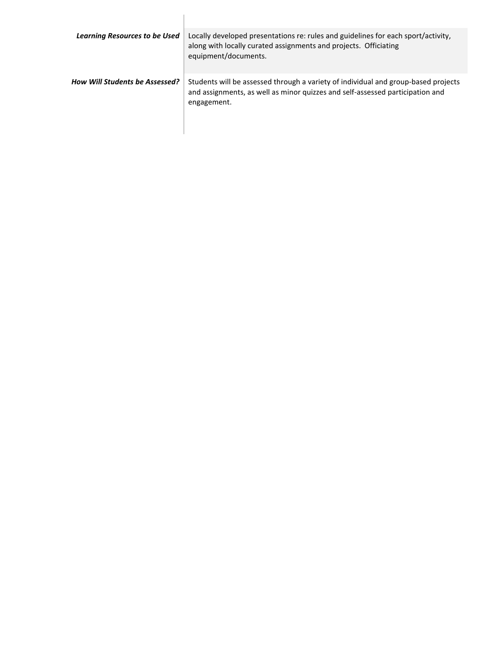| <b>Learning Resources to be Used</b> | Locally developed presentations re: rules and guidelines for each sport/activity,<br>along with locally curated assignments and projects. Officiating<br>equipment/documents.      |
|--------------------------------------|------------------------------------------------------------------------------------------------------------------------------------------------------------------------------------|
| How Will Students be Assessed?       | Students will be assessed through a variety of individual and group-based projects<br>and assignments, as well as minor quizzes and self-assessed participation and<br>engagement. |

 $\begin{array}{c} \hline \end{array}$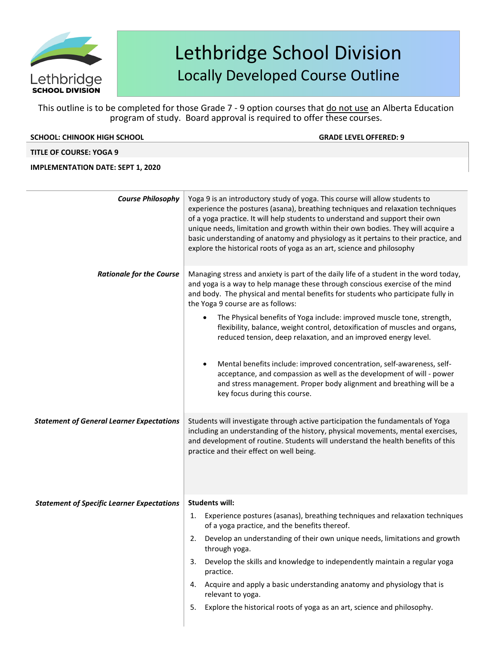

This outline is to be completed for those Grade 7 - 9 option courses that do not use an Alberta Education program of study. Board approval is required to offer these courses.

| <b>SCHOOL: CHINOOK HIGH SCHOOL</b> | <b>GRADE LEVEL OFFERED: 9</b> |
|------------------------------------|-------------------------------|
|                                    |                               |

### **TITLE OF COURSE: YOGA 9**

### **IMPLEMENTATION DATE: SEPT 1, 2020**

| <b>Course Philosophy</b>                          | Yoga 9 is an introductory study of yoga. This course will allow students to<br>experience the postures (asana), breathing techniques and relaxation techniques<br>of a yoga practice. It will help students to understand and support their own<br>unique needs, limitation and growth within their own bodies. They will acquire a<br>basic understanding of anatomy and physiology as it pertains to their practice, and<br>explore the historical roots of yoga as an art, science and philosophy                                                                                                                                                                                                                                                                                         |
|---------------------------------------------------|----------------------------------------------------------------------------------------------------------------------------------------------------------------------------------------------------------------------------------------------------------------------------------------------------------------------------------------------------------------------------------------------------------------------------------------------------------------------------------------------------------------------------------------------------------------------------------------------------------------------------------------------------------------------------------------------------------------------------------------------------------------------------------------------|
| <b>Rationale for the Course</b>                   | Managing stress and anxiety is part of the daily life of a student in the word today,<br>and yoga is a way to help manage these through conscious exercise of the mind<br>and body. The physical and mental benefits for students who participate fully in<br>the Yoga 9 course are as follows:<br>The Physical benefits of Yoga include: improved muscle tone, strength,<br>flexibility, balance, weight control, detoxification of muscles and organs,<br>reduced tension, deep relaxation, and an improved energy level.<br>Mental benefits include: improved concentration, self-awareness, self-<br>٠<br>acceptance, and compassion as well as the development of will - power<br>and stress management. Proper body alignment and breathing will be a<br>key focus during this course. |
| <b>Statement of General Learner Expectations</b>  | Students will investigate through active participation the fundamentals of Yoga<br>including an understanding of the history, physical movements, mental exercises,<br>and development of routine. Students will understand the health benefits of this<br>practice and their effect on well being.                                                                                                                                                                                                                                                                                                                                                                                                                                                                                          |
| <b>Statement of Specific Learner Expectations</b> | <b>Students will:</b>                                                                                                                                                                                                                                                                                                                                                                                                                                                                                                                                                                                                                                                                                                                                                                        |
|                                                   | Experience postures (asanas), breathing techniques and relaxation techniques<br>1.<br>of a yoga practice, and the benefits thereof.<br>Develop an understanding of their own unique needs, limitations and growth<br>2.                                                                                                                                                                                                                                                                                                                                                                                                                                                                                                                                                                      |
|                                                   | through yoga.<br>Develop the skills and knowledge to independently maintain a regular yoga                                                                                                                                                                                                                                                                                                                                                                                                                                                                                                                                                                                                                                                                                                   |
|                                                   | 3.<br>practice.                                                                                                                                                                                                                                                                                                                                                                                                                                                                                                                                                                                                                                                                                                                                                                              |
|                                                   | Acquire and apply a basic understanding anatomy and physiology that is<br>4.<br>relevant to yoga.                                                                                                                                                                                                                                                                                                                                                                                                                                                                                                                                                                                                                                                                                            |
|                                                   | Explore the historical roots of yoga as an art, science and philosophy.<br>5.                                                                                                                                                                                                                                                                                                                                                                                                                                                                                                                                                                                                                                                                                                                |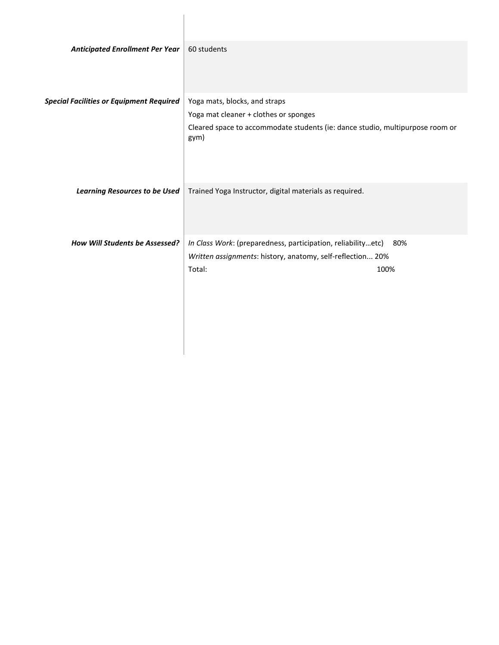| <b>Anticipated Enrollment Per Year</b>          | 60 students                                                                           |
|-------------------------------------------------|---------------------------------------------------------------------------------------|
| <b>Special Facilities or Equipment Required</b> | Yoga mats, blocks, and straps                                                         |
|                                                 | Yoga mat cleaner + clothes or sponges                                                 |
|                                                 | Cleared space to accommodate students (ie: dance studio, multipurpose room or<br>gym) |
| <b>Learning Resources to be Used</b>            | Trained Yoga Instructor, digital materials as required.                               |
| How Will Students be Assessed?                  | In Class Work: (preparedness, participation, reliabilityetc)<br>80%                   |
|                                                 | Written assignments: history, anatomy, self-reflection 20%                            |
|                                                 | Total:<br>100%                                                                        |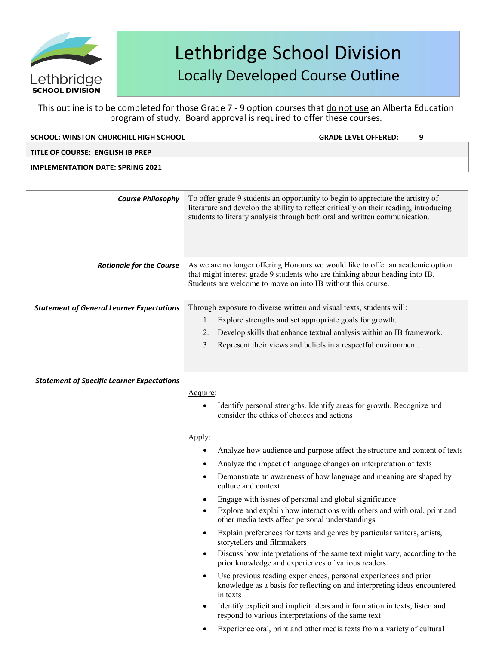

### This outline is to be completed for those Grade 7 - 9 option courses that do not use an Alberta Education program of study. Board approval is required to offer these courses.

| program of study. Board approval is required to offer these courses. |                                                                                                                                                                                                                                                                                                                                                                                                                                                                                                                                                                                                                                                                                                                                                                                   |  |
|----------------------------------------------------------------------|-----------------------------------------------------------------------------------------------------------------------------------------------------------------------------------------------------------------------------------------------------------------------------------------------------------------------------------------------------------------------------------------------------------------------------------------------------------------------------------------------------------------------------------------------------------------------------------------------------------------------------------------------------------------------------------------------------------------------------------------------------------------------------------|--|
| <b>SCHOOL: WINSTON CHURCHILL HIGH SCHOOL</b>                         | <b>GRADE LEVEL OFFERED:</b><br>9                                                                                                                                                                                                                                                                                                                                                                                                                                                                                                                                                                                                                                                                                                                                                  |  |
| TITLE OF COURSE: ENGLISH IB PREP                                     |                                                                                                                                                                                                                                                                                                                                                                                                                                                                                                                                                                                                                                                                                                                                                                                   |  |
| <b>IMPLEMENTATION DATE: SPRING 2021</b>                              |                                                                                                                                                                                                                                                                                                                                                                                                                                                                                                                                                                                                                                                                                                                                                                                   |  |
| <b>Course Philosophy</b>                                             | To offer grade 9 students an opportunity to begin to appreciate the artistry of<br>literature and develop the ability to reflect critically on their reading, introducing<br>students to literary analysis through both oral and written communication.                                                                                                                                                                                                                                                                                                                                                                                                                                                                                                                           |  |
| <b>Rationale for the Course</b>                                      | As we are no longer offering Honours we would like to offer an academic option<br>that might interest grade 9 students who are thinking about heading into IB.<br>Students are welcome to move on into IB without this course.                                                                                                                                                                                                                                                                                                                                                                                                                                                                                                                                                    |  |
| <b>Statement of General Learner Expectations</b>                     | Through exposure to diverse written and visual texts, students will:<br>Explore strengths and set appropriate goals for growth.<br>1.<br>Develop skills that enhance textual analysis within an IB framework.<br>2.<br>Represent their views and beliefs in a respectful environment.<br>3.                                                                                                                                                                                                                                                                                                                                                                                                                                                                                       |  |
| <b>Statement of Specific Learner Expectations</b>                    | Acquire:<br>Identify personal strengths. Identify areas for growth. Recognize and<br>consider the ethics of choices and actions<br>Apply:<br>Analyze how audience and purpose affect the structure and content of texts<br>Analyze the impact of language changes on interpretation of texts<br>Demonstrate an awareness of how language and meaning are shaped by<br>٠<br>culture and context<br>Engage with issues of personal and global significance<br>Explore and explain how interactions with others and with oral, print and<br>other media texts affect personal understandings<br>Explain preferences for texts and genres by particular writers, artists,<br>storytellers and filmmakers<br>Discuss how interpretations of the same text might vary, according to the |  |
|                                                                      | prior knowledge and experiences of various readers<br>Use previous reading experiences, personal experiences and prior<br>knowledge as a basis for reflecting on and interpreting ideas encountered<br>in texts<br>Identify explicit and implicit ideas and information in texts; listen and<br>respond to various interpretations of the same text                                                                                                                                                                                                                                                                                                                                                                                                                               |  |

Experience oral, print and other media texts from a variety of cultural